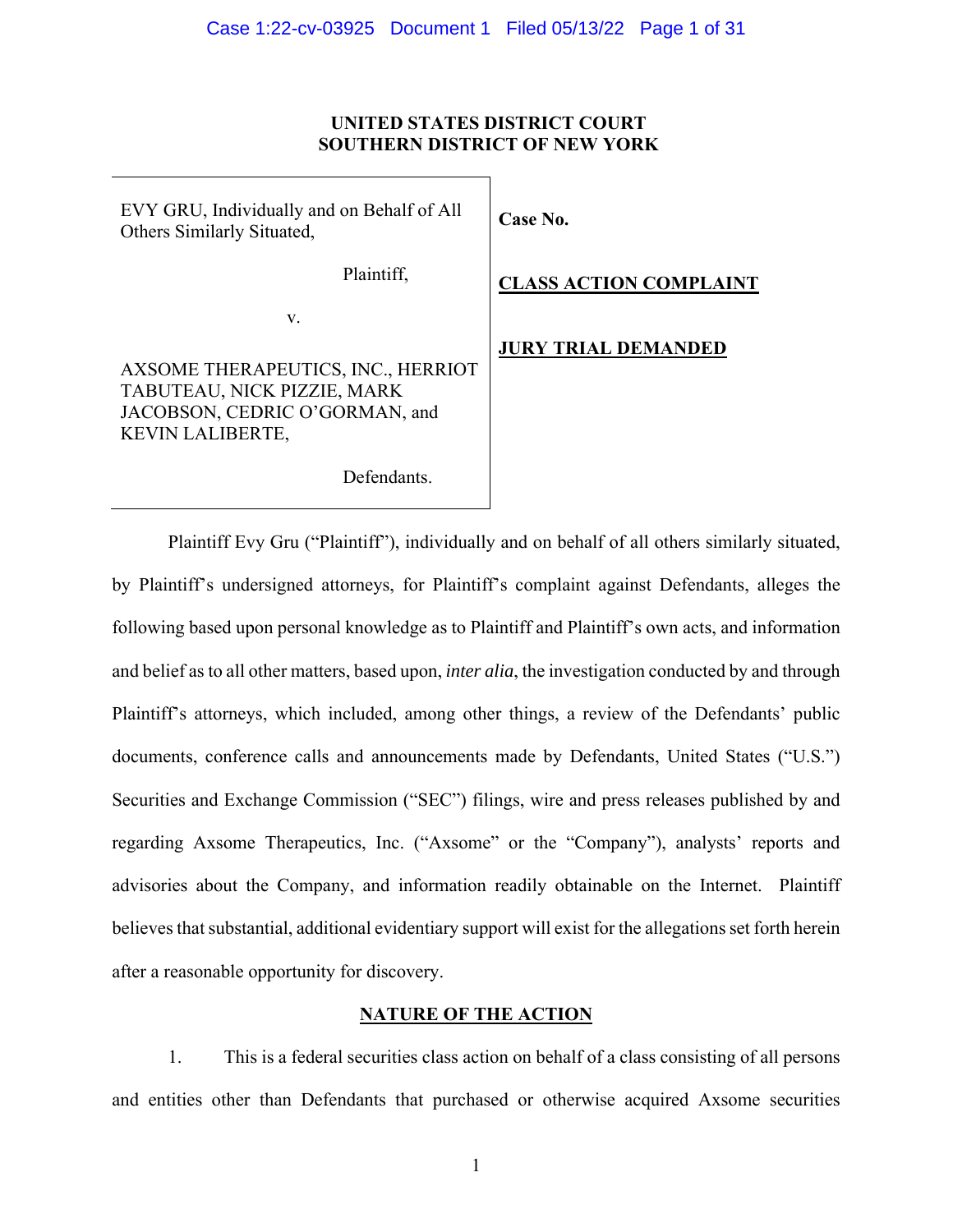### **UNITED STATES DISTRICT COURT SOUTHERN DISTRICT OF NEW YORK**

EVY GRU, Individually and on Behalf of All Others Similarly Situated,

Plaintiff,

v.

AXSOME THERAPEUTICS, INC., HERRIOT TABUTEAU, NICK PIZZIE, MARK JACOBSON, CEDRIC O'GORMAN, and KEVIN LALIBERTE,

**Case No.** 

**CLASS ACTION COMPLAINT** 

**JURY TRIAL DEMANDED**

Defendants.

Plaintiff Evy Gru ("Plaintiff"), individually and on behalf of all others similarly situated, by Plaintiff's undersigned attorneys, for Plaintiff's complaint against Defendants, alleges the following based upon personal knowledge as to Plaintiff and Plaintiff's own acts, and information and belief as to all other matters, based upon, *inter alia*, the investigation conducted by and through Plaintiff's attorneys, which included, among other things, a review of the Defendants' public documents, conference calls and announcements made by Defendants, United States ("U.S.") Securities and Exchange Commission ("SEC") filings, wire and press releases published by and regarding Axsome Therapeutics, Inc. ("Axsome" or the "Company"), analysts' reports and advisories about the Company, and information readily obtainable on the Internet. Plaintiff believes that substantial, additional evidentiary support will exist for the allegations set forth herein after a reasonable opportunity for discovery.

### **NATURE OF THE ACTION**

1. This is a federal securities class action on behalf of a class consisting of all persons and entities other than Defendants that purchased or otherwise acquired Axsome securities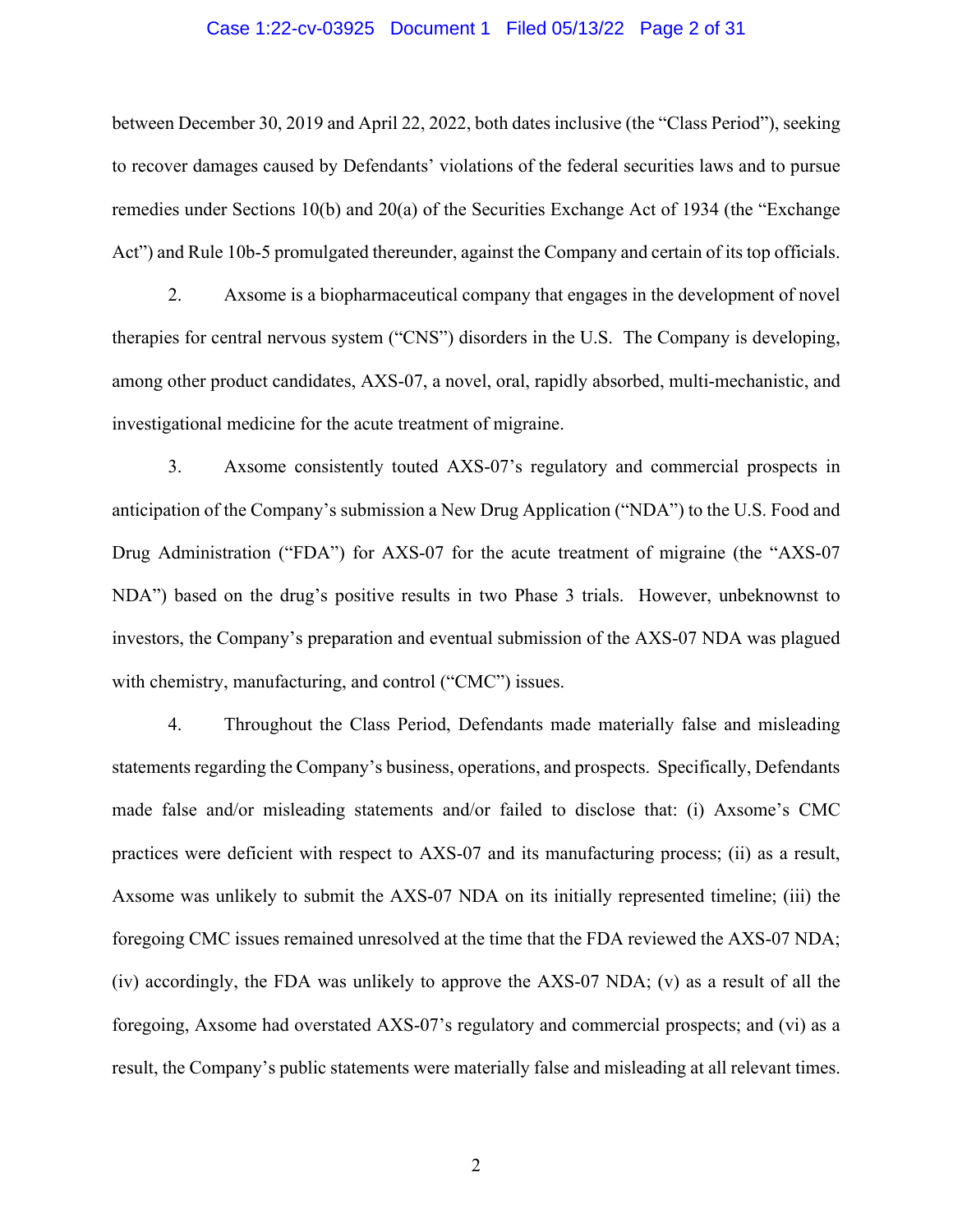#### Case 1:22-cv-03925 Document 1 Filed 05/13/22 Page 2 of 31

between December 30, 2019 and April 22, 2022, both dates inclusive (the "Class Period"), seeking to recover damages caused by Defendants' violations of the federal securities laws and to pursue remedies under Sections 10(b) and 20(a) of the Securities Exchange Act of 1934 (the "Exchange Act") and Rule 10b-5 promulgated thereunder, against the Company and certain of its top officials.

2. Axsome is a biopharmaceutical company that engages in the development of novel therapies for central nervous system ("CNS") disorders in the U.S. The Company is developing, among other product candidates, AXS-07, a novel, oral, rapidly absorbed, multi-mechanistic, and investigational medicine for the acute treatment of migraine.

3. Axsome consistently touted AXS-07's regulatory and commercial prospects in anticipation of the Company's submission a New Drug Application ("NDA") to the U.S. Food and Drug Administration ("FDA") for AXS-07 for the acute treatment of migraine (the "AXS-07 NDA") based on the drug's positive results in two Phase 3 trials. However, unbeknownst to investors, the Company's preparation and eventual submission of the AXS-07 NDA was plagued with chemistry, manufacturing, and control ("CMC") issues.

4. Throughout the Class Period, Defendants made materially false and misleading statements regarding the Company's business, operations, and prospects. Specifically, Defendants made false and/or misleading statements and/or failed to disclose that: (i) Axsome's CMC practices were deficient with respect to AXS-07 and its manufacturing process; (ii) as a result, Axsome was unlikely to submit the AXS-07 NDA on its initially represented timeline; (iii) the foregoing CMC issues remained unresolved at the time that the FDA reviewed the AXS-07 NDA; (iv) accordingly, the FDA was unlikely to approve the AXS-07 NDA; (v) as a result of all the foregoing, Axsome had overstated AXS-07's regulatory and commercial prospects; and (vi) as a result, the Company's public statements were materially false and misleading at all relevant times.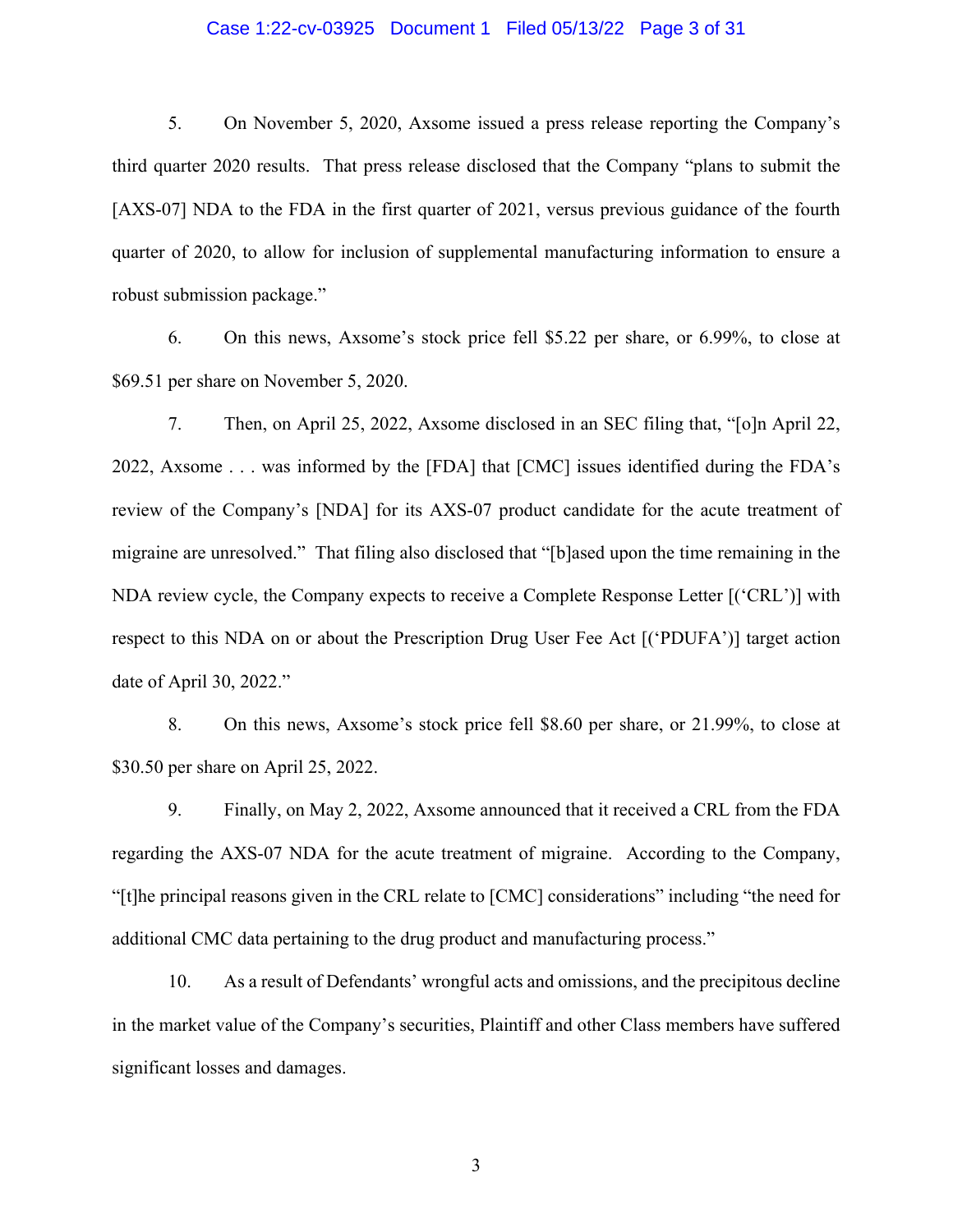### Case 1:22-cv-03925 Document 1 Filed 05/13/22 Page 3 of 31

5. On November 5, 2020, Axsome issued a press release reporting the Company's third quarter 2020 results. That press release disclosed that the Company "plans to submit the [AXS-07] NDA to the FDA in the first quarter of 2021, versus previous guidance of the fourth quarter of 2020, to allow for inclusion of supplemental manufacturing information to ensure a robust submission package."

6. On this news, Axsome's stock price fell \$5.22 per share, or 6.99%, to close at \$69.51 per share on November 5, 2020.

7. Then, on April 25, 2022, Axsome disclosed in an SEC filing that, "[o]n April 22, 2022, Axsome . . . was informed by the [FDA] that [CMC] issues identified during the FDA's review of the Company's [NDA] for its AXS-07 product candidate for the acute treatment of migraine are unresolved." That filing also disclosed that "[b]ased upon the time remaining in the NDA review cycle, the Company expects to receive a Complete Response Letter [('CRL')] with respect to this NDA on or about the Prescription Drug User Fee Act [('PDUFA')] target action date of April 30, 2022."

8. On this news, Axsome's stock price fell \$8.60 per share, or 21.99%, to close at \$30.50 per share on April 25, 2022.

9. Finally, on May 2, 2022, Axsome announced that it received a CRL from the FDA regarding the AXS-07 NDA for the acute treatment of migraine. According to the Company, "[t]he principal reasons given in the CRL relate to [CMC] considerations" including "the need for additional CMC data pertaining to the drug product and manufacturing process."

10. As a result of Defendants' wrongful acts and omissions, and the precipitous decline in the market value of the Company's securities, Plaintiff and other Class members have suffered significant losses and damages.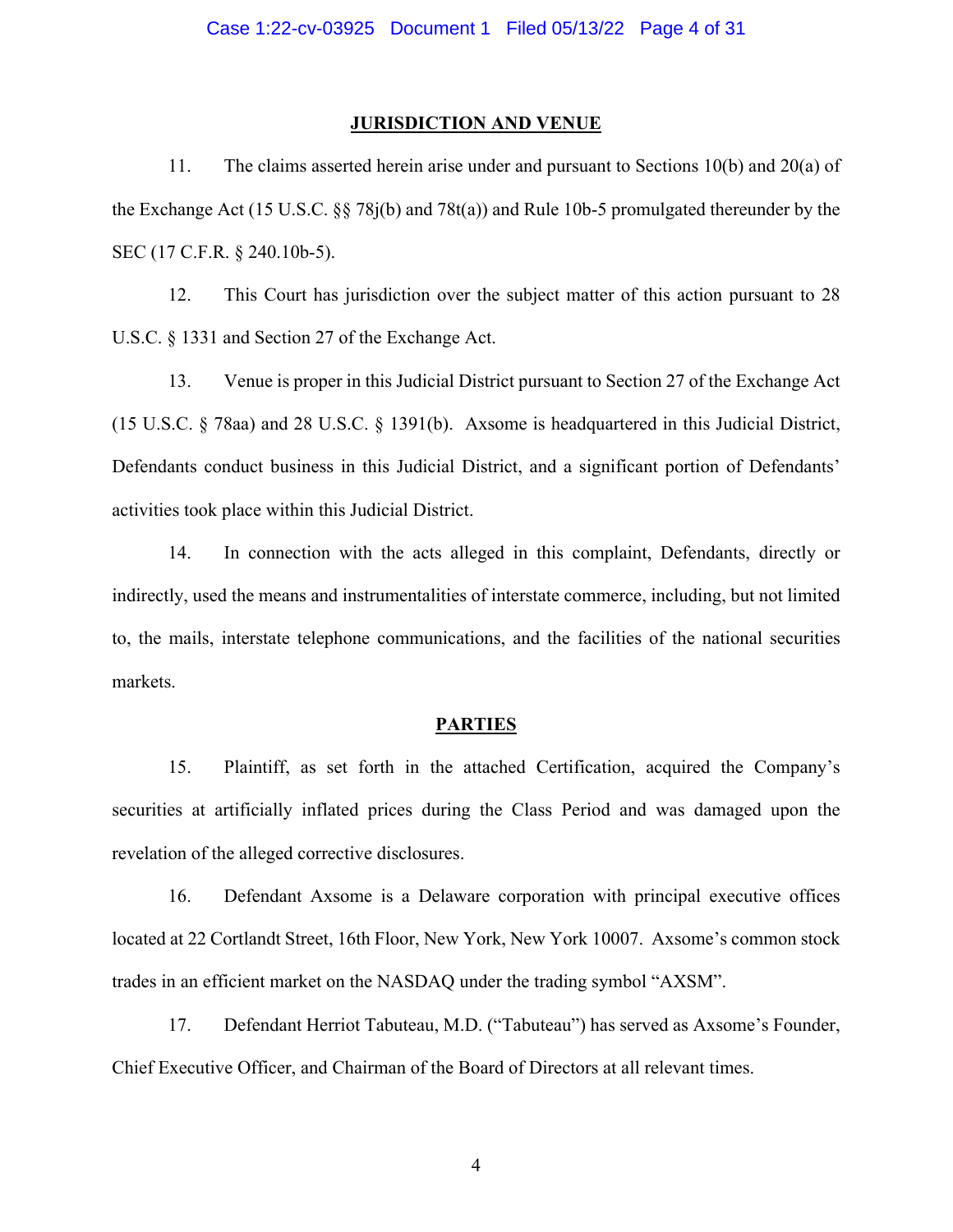#### **JURISDICTION AND VENUE**

11. The claims asserted herein arise under and pursuant to Sections 10(b) and 20(a) of the Exchange Act (15 U.S.C. §§ 78j(b) and 78t(a)) and Rule 10b-5 promulgated thereunder by the SEC (17 C.F.R. § 240.10b-5).

12. This Court has jurisdiction over the subject matter of this action pursuant to 28 U.S.C. § 1331 and Section 27 of the Exchange Act.

13. Venue is proper in this Judicial District pursuant to Section 27 of the Exchange Act (15 U.S.C. § 78aa) and 28 U.S.C. § 1391(b). Axsome is headquartered in this Judicial District, Defendants conduct business in this Judicial District, and a significant portion of Defendants' activities took place within this Judicial District.

14. In connection with the acts alleged in this complaint, Defendants, directly or indirectly, used the means and instrumentalities of interstate commerce, including, but not limited to, the mails, interstate telephone communications, and the facilities of the national securities markets.

#### **PARTIES**

15. Plaintiff, as set forth in the attached Certification, acquired the Company's securities at artificially inflated prices during the Class Period and was damaged upon the revelation of the alleged corrective disclosures.

16. Defendant Axsome is a Delaware corporation with principal executive offices located at 22 Cortlandt Street, 16th Floor, New York, New York 10007. Axsome's common stock trades in an efficient market on the NASDAQ under the trading symbol "AXSM".

17. Defendant Herriot Tabuteau, M.D. ("Tabuteau") has served as Axsome's Founder, Chief Executive Officer, and Chairman of the Board of Directors at all relevant times.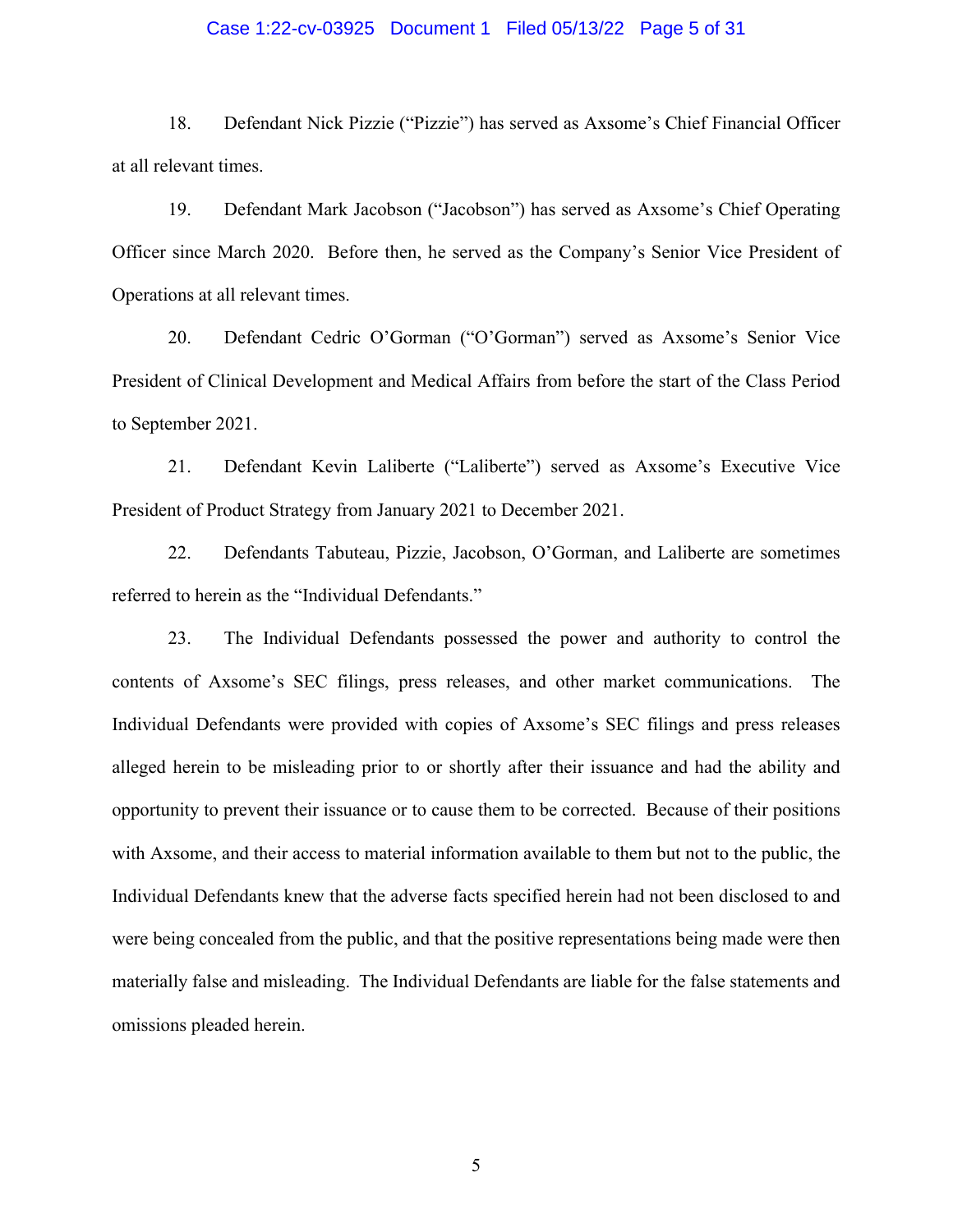### Case 1:22-cv-03925 Document 1 Filed 05/13/22 Page 5 of 31

18. Defendant Nick Pizzie ("Pizzie") has served as Axsome's Chief Financial Officer at all relevant times.

19. Defendant Mark Jacobson ("Jacobson") has served as Axsome's Chief Operating Officer since March 2020. Before then, he served as the Company's Senior Vice President of Operations at all relevant times.

20. Defendant Cedric O'Gorman ("O'Gorman") served as Axsome's Senior Vice President of Clinical Development and Medical Affairs from before the start of the Class Period to September 2021.

21. Defendant Kevin Laliberte ("Laliberte") served as Axsome's Executive Vice President of Product Strategy from January 2021 to December 2021.

22. Defendants Tabuteau, Pizzie, Jacobson, O'Gorman, and Laliberte are sometimes referred to herein as the "Individual Defendants."

23. The Individual Defendants possessed the power and authority to control the contents of Axsome's SEC filings, press releases, and other market communications. The Individual Defendants were provided with copies of Axsome's SEC filings and press releases alleged herein to be misleading prior to or shortly after their issuance and had the ability and opportunity to prevent their issuance or to cause them to be corrected. Because of their positions with Axsome, and their access to material information available to them but not to the public, the Individual Defendants knew that the adverse facts specified herein had not been disclosed to and were being concealed from the public, and that the positive representations being made were then materially false and misleading. The Individual Defendants are liable for the false statements and omissions pleaded herein.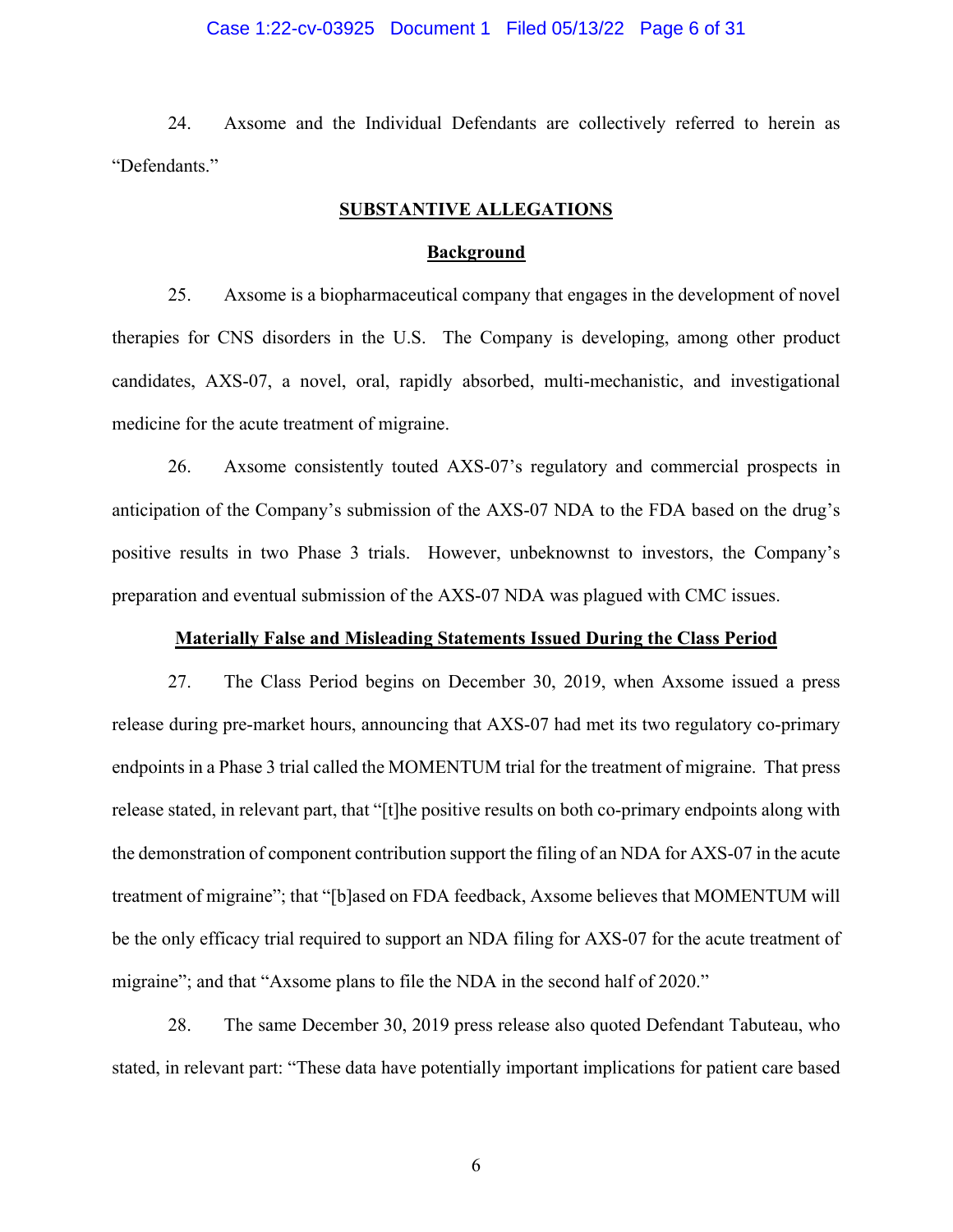### Case 1:22-cv-03925 Document 1 Filed 05/13/22 Page 6 of 31

24. Axsome and the Individual Defendants are collectively referred to herein as "Defendants."

### **SUBSTANTIVE ALLEGATIONS**

#### **Background**

25. Axsome is a biopharmaceutical company that engages in the development of novel therapies for CNS disorders in the U.S. The Company is developing, among other product candidates, AXS-07, a novel, oral, rapidly absorbed, multi-mechanistic, and investigational medicine for the acute treatment of migraine.

26. Axsome consistently touted AXS-07's regulatory and commercial prospects in anticipation of the Company's submission of the AXS-07 NDA to the FDA based on the drug's positive results in two Phase 3 trials. However, unbeknownst to investors, the Company's preparation and eventual submission of the AXS-07 NDA was plagued with CMC issues.

#### **Materially False and Misleading Statements Issued During the Class Period**

27. The Class Period begins on December 30, 2019, when Axsome issued a press release during pre-market hours, announcing that AXS-07 had met its two regulatory co-primary endpoints in a Phase 3 trial called the MOMENTUM trial for the treatment of migraine. That press release stated, in relevant part, that "[t]he positive results on both co-primary endpoints along with the demonstration of component contribution support the filing of an NDA for AXS-07 in the acute treatment of migraine"; that "[b]ased on FDA feedback, Axsome believes that MOMENTUM will be the only efficacy trial required to support an NDA filing for AXS-07 for the acute treatment of migraine"; and that "Axsome plans to file the NDA in the second half of 2020."

28. The same December 30, 2019 press release also quoted Defendant Tabuteau, who stated, in relevant part: "These data have potentially important implications for patient care based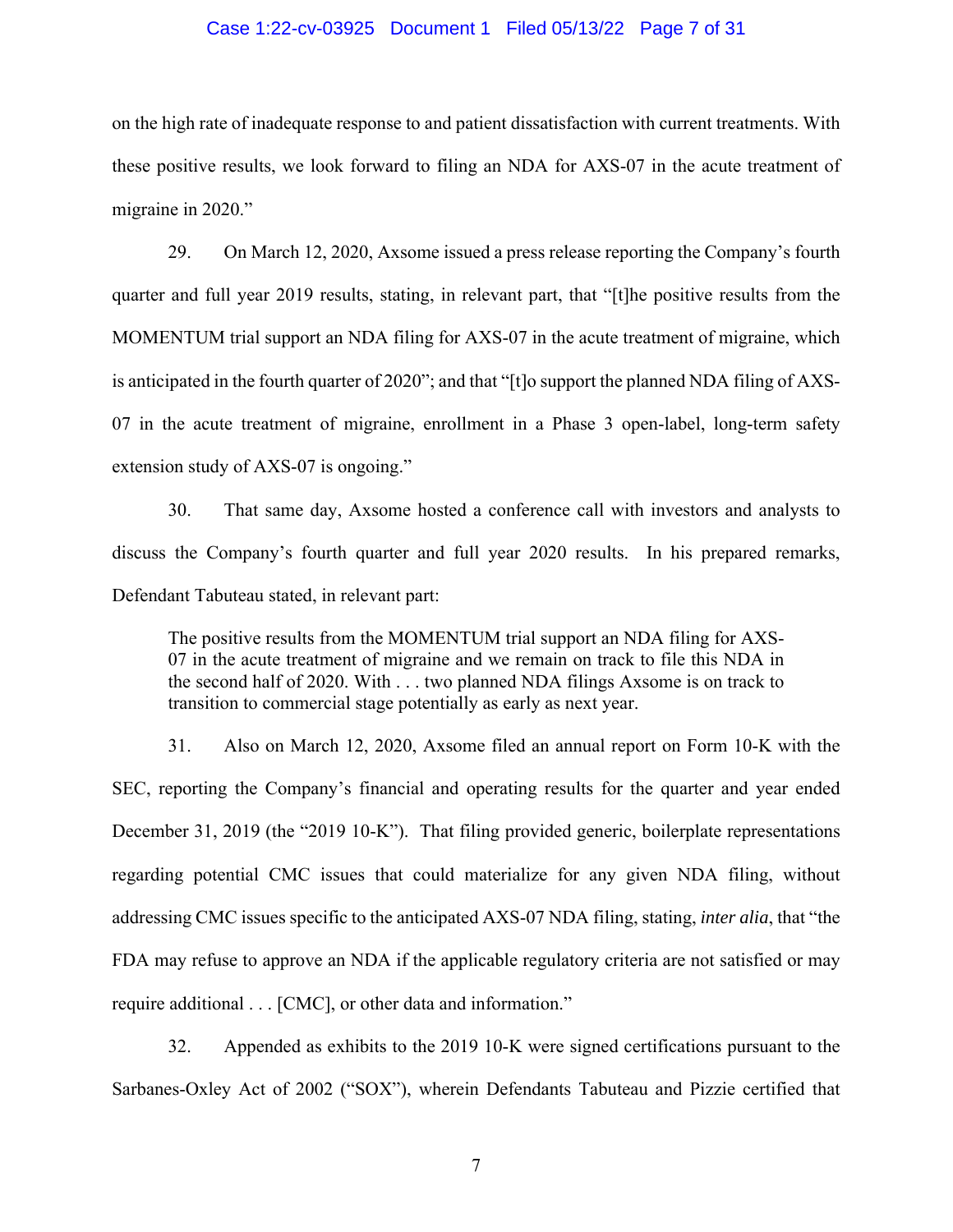#### Case 1:22-cv-03925 Document 1 Filed 05/13/22 Page 7 of 31

on the high rate of inadequate response to and patient dissatisfaction with current treatments. With these positive results, we look forward to filing an NDA for AXS-07 in the acute treatment of migraine in 2020."

29. On March 12, 2020, Axsome issued a press release reporting the Company's fourth quarter and full year 2019 results, stating, in relevant part, that "[t]he positive results from the MOMENTUM trial support an NDA filing for AXS-07 in the acute treatment of migraine, which is anticipated in the fourth quarter of 2020"; and that "[t]o support the planned NDA filing of AXS-07 in the acute treatment of migraine, enrollment in a Phase 3 open-label, long-term safety extension study of AXS-07 is ongoing."

30. That same day, Axsome hosted a conference call with investors and analysts to discuss the Company's fourth quarter and full year 2020 results. In his prepared remarks, Defendant Tabuteau stated, in relevant part:

The positive results from the MOMENTUM trial support an NDA filing for AXS-07 in the acute treatment of migraine and we remain on track to file this NDA in the second half of 2020. With . . . two planned NDA filings Axsome is on track to transition to commercial stage potentially as early as next year.

31. Also on March 12, 2020, Axsome filed an annual report on Form 10-K with the SEC, reporting the Company's financial and operating results for the quarter and year ended December 31, 2019 (the "2019 10-K"). That filing provided generic, boilerplate representations regarding potential CMC issues that could materialize for any given NDA filing, without addressing CMC issues specific to the anticipated AXS-07 NDA filing, stating, *inter alia*, that "the FDA may refuse to approve an NDA if the applicable regulatory criteria are not satisfied or may require additional . . . [CMC], or other data and information."

32. Appended as exhibits to the 2019 10-K were signed certifications pursuant to the Sarbanes-Oxley Act of 2002 ("SOX"), wherein Defendants Tabuteau and Pizzie certified that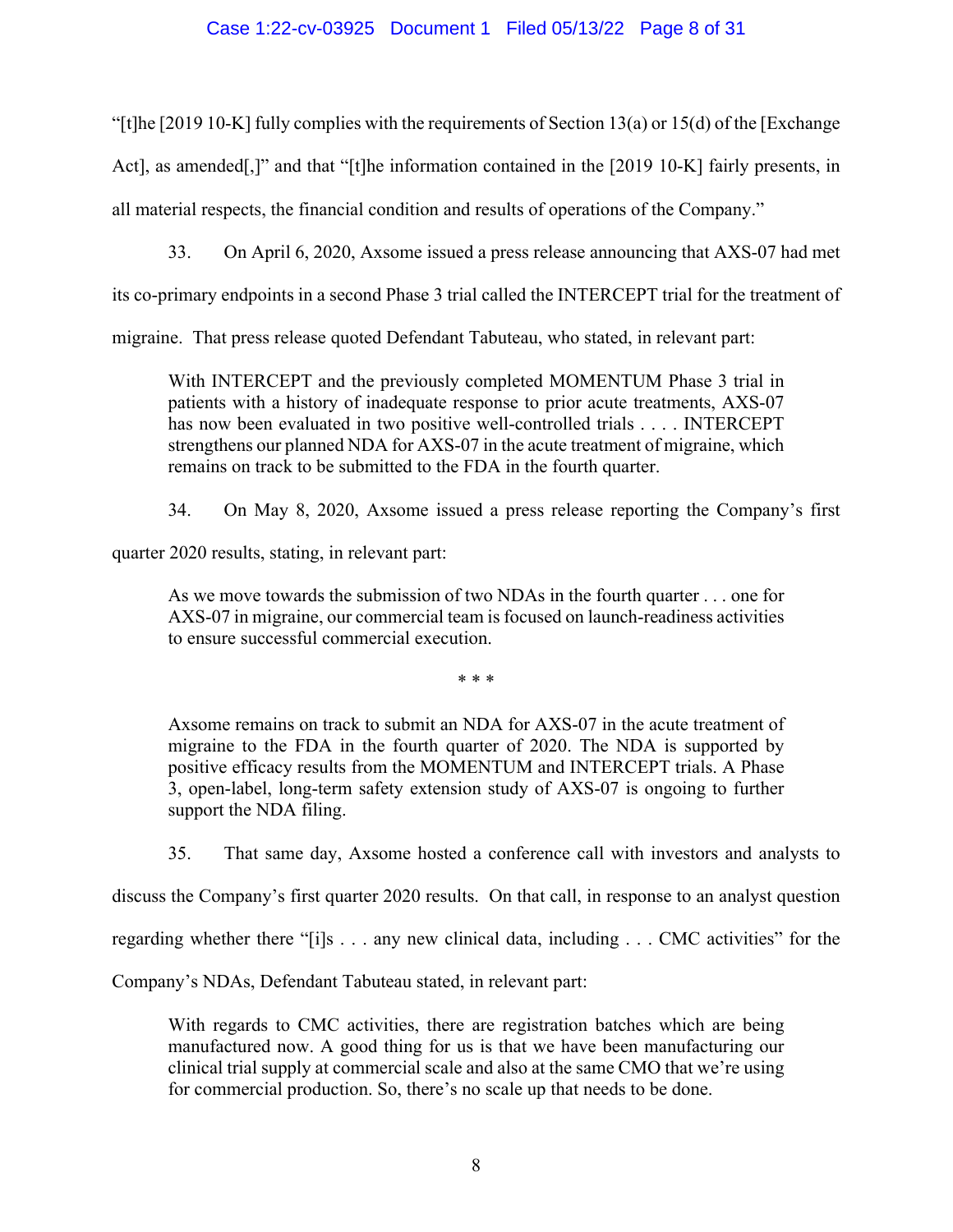### Case 1:22-cv-03925 Document 1 Filed 05/13/22 Page 8 of 31

"[t]he [2019 10-K] fully complies with the requirements of Section 13(a) or 15(d) of the [Exchange Act], as amended[,]" and that "[t]he information contained in the [2019 10-K] fairly presents, in all material respects, the financial condition and results of operations of the Company."

33. On April 6, 2020, Axsome issued a press release announcing that AXS-07 had met

its co-primary endpoints in a second Phase 3 trial called the INTERCEPT trial for the treatment of

migraine. That press release quoted Defendant Tabuteau, who stated, in relevant part:

With INTERCEPT and the previously completed MOMENTUM Phase 3 trial in patients with a history of inadequate response to prior acute treatments, AXS-07 has now been evaluated in two positive well-controlled trials . . . . INTERCEPT strengthens our planned NDA for AXS-07 in the acute treatment of migraine, which remains on track to be submitted to the FDA in the fourth quarter.

34. On May 8, 2020, Axsome issued a press release reporting the Company's first

quarter 2020 results, stating, in relevant part:

As we move towards the submission of two NDAs in the fourth quarter . . . one for AXS-07 in migraine, our commercial team is focused on launch-readiness activities to ensure successful commercial execution.

\* \* \*

Axsome remains on track to submit an NDA for AXS-07 in the acute treatment of migraine to the FDA in the fourth quarter of 2020. The NDA is supported by positive efficacy results from the MOMENTUM and INTERCEPT trials. A Phase 3, open-label, long-term safety extension study of AXS-07 is ongoing to further support the NDA filing.

35. That same day, Axsome hosted a conference call with investors and analysts to

discuss the Company's first quarter 2020 results. On that call, in response to an analyst question

regarding whether there "[i]s . . . any new clinical data, including . . . CMC activities" for the

Company's NDAs, Defendant Tabuteau stated, in relevant part:

With regards to CMC activities, there are registration batches which are being manufactured now. A good thing for us is that we have been manufacturing our clinical trial supply at commercial scale and also at the same CMO that we're using for commercial production. So, there's no scale up that needs to be done.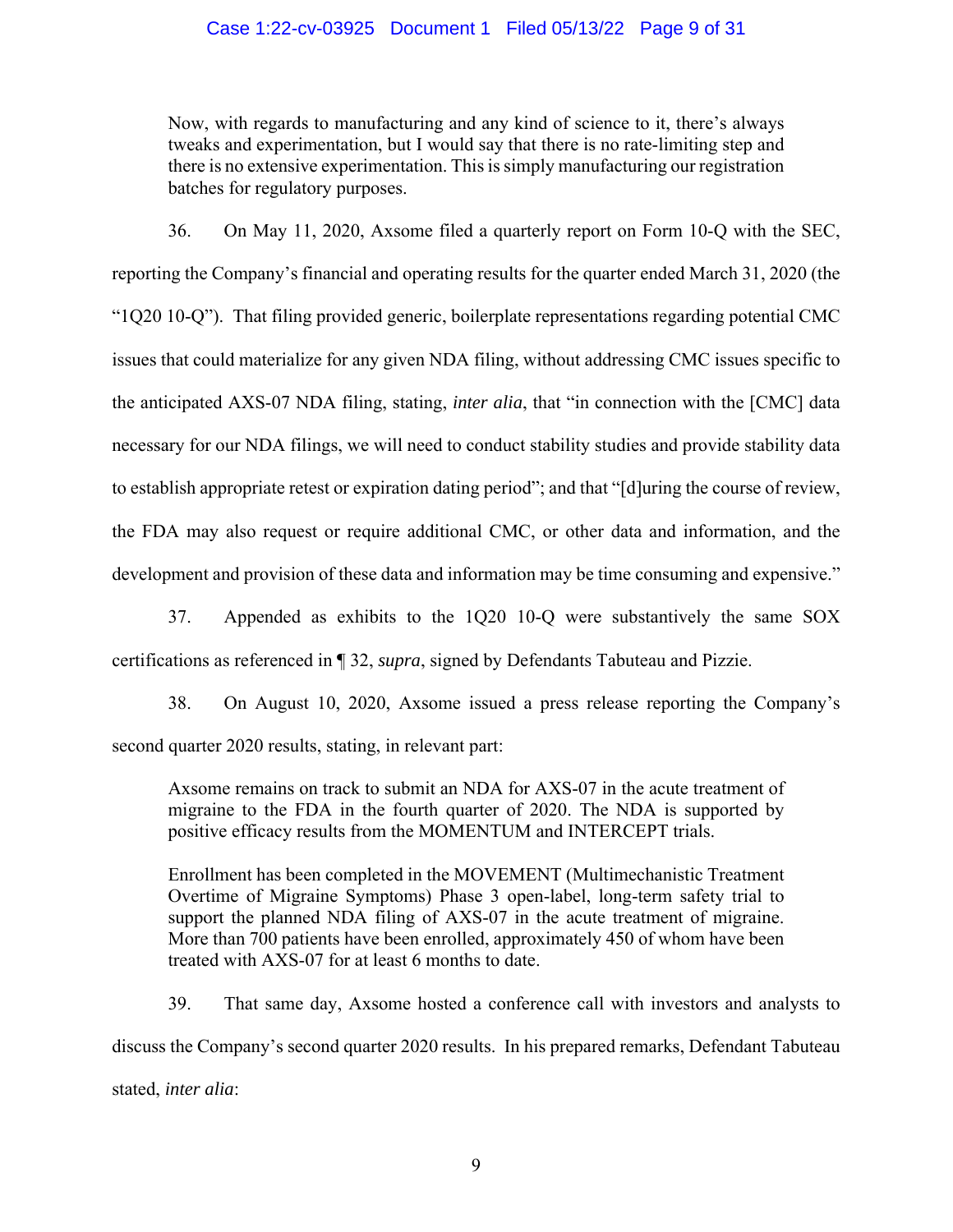### Case 1:22-cv-03925 Document 1 Filed 05/13/22 Page 9 of 31

Now, with regards to manufacturing and any kind of science to it, there's always tweaks and experimentation, but I would say that there is no rate-limiting step and there is no extensive experimentation. This is simply manufacturing our registration batches for regulatory purposes.

36. On May 11, 2020, Axsome filed a quarterly report on Form 10-Q with the SEC, reporting the Company's financial and operating results for the quarter ended March 31, 2020 (the "1Q20 10-Q"). That filing provided generic, boilerplate representations regarding potential CMC issues that could materialize for any given NDA filing, without addressing CMC issues specific to the anticipated AXS-07 NDA filing, stating, *inter alia*, that "in connection with the [CMC] data necessary for our NDA filings, we will need to conduct stability studies and provide stability data to establish appropriate retest or expiration dating period"; and that "[d]uring the course of review, the FDA may also request or require additional CMC, or other data and information, and the development and provision of these data and information may be time consuming and expensive."

37. Appended as exhibits to the 1Q20 10-Q were substantively the same SOX certifications as referenced in ¶ 32, *supra*, signed by Defendants Tabuteau and Pizzie.

38. On August 10, 2020, Axsome issued a press release reporting the Company's second quarter 2020 results, stating, in relevant part:

Axsome remains on track to submit an NDA for AXS-07 in the acute treatment of migraine to the FDA in the fourth quarter of 2020. The NDA is supported by positive efficacy results from the MOMENTUM and INTERCEPT trials.

Enrollment has been completed in the MOVEMENT (Multimechanistic Treatment Overtime of Migraine Symptoms) Phase 3 open-label, long-term safety trial to support the planned NDA filing of AXS-07 in the acute treatment of migraine. More than 700 patients have been enrolled, approximately 450 of whom have been treated with AXS-07 for at least 6 months to date.

39. That same day, Axsome hosted a conference call with investors and analysts to discuss the Company's second quarter 2020 results. In his prepared remarks, Defendant Tabuteau stated, *inter alia*: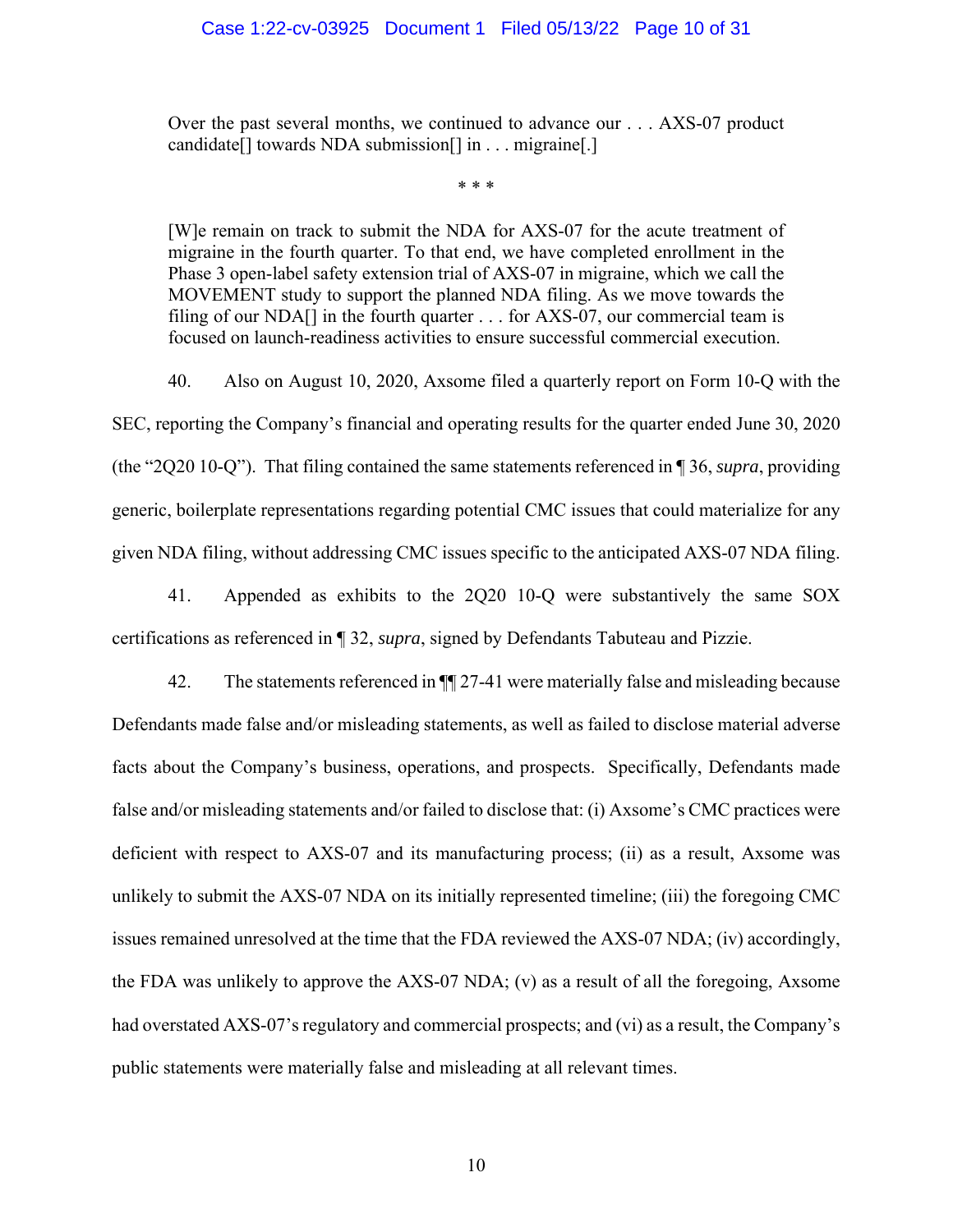### Case 1:22-cv-03925 Document 1 Filed 05/13/22 Page 10 of 31

Over the past several months, we continued to advance our . . . AXS-07 product candidate[] towards NDA submission[] in . . . migraine[.]

\* \* \*

[W]e remain on track to submit the NDA for AXS-07 for the acute treatment of migraine in the fourth quarter. To that end, we have completed enrollment in the Phase 3 open-label safety extension trial of AXS-07 in migraine, which we call the MOVEMENT study to support the planned NDA filing. As we move towards the filing of our NDA $\lceil \cdot \rceil$  in the fourth quarter . . . for AXS-07, our commercial team is focused on launch-readiness activities to ensure successful commercial execution.

40. Also on August 10, 2020, Axsome filed a quarterly report on Form 10-Q with the SEC, reporting the Company's financial and operating results for the quarter ended June 30, 2020 (the "2Q20 10-Q"). That filing contained the same statements referenced in ¶ 36, *supra*, providing generic, boilerplate representations regarding potential CMC issues that could materialize for any given NDA filing, without addressing CMC issues specific to the anticipated AXS-07 NDA filing.

41. Appended as exhibits to the 2Q20 10-Q were substantively the same SOX certifications as referenced in ¶ 32, *supra*, signed by Defendants Tabuteau and Pizzie.

42. The statements referenced in ¶¶ 27-41 were materially false and misleading because Defendants made false and/or misleading statements, as well as failed to disclose material adverse facts about the Company's business, operations, and prospects. Specifically, Defendants made false and/or misleading statements and/or failed to disclose that: (i) Axsome's CMC practices were deficient with respect to AXS-07 and its manufacturing process; (ii) as a result, Axsome was unlikely to submit the AXS-07 NDA on its initially represented timeline; (iii) the foregoing CMC issues remained unresolved at the time that the FDA reviewed the AXS-07 NDA; (iv) accordingly, the FDA was unlikely to approve the AXS-07 NDA; (v) as a result of all the foregoing, Axsome had overstated AXS-07's regulatory and commercial prospects; and (vi) as a result, the Company's public statements were materially false and misleading at all relevant times.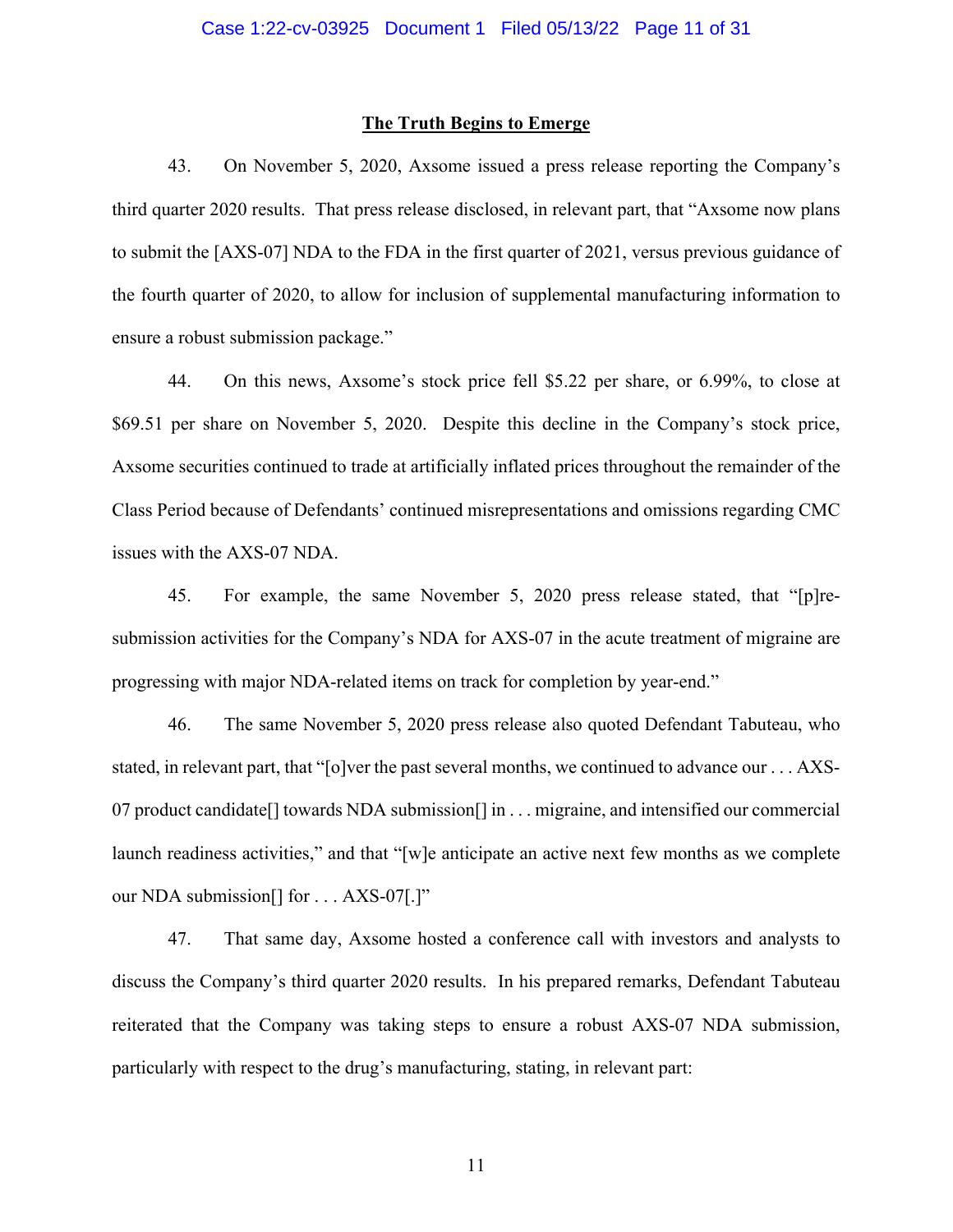#### **The Truth Begins to Emerge**

43. On November 5, 2020, Axsome issued a press release reporting the Company's third quarter 2020 results. That press release disclosed, in relevant part, that "Axsome now plans to submit the [AXS-07] NDA to the FDA in the first quarter of 2021, versus previous guidance of the fourth quarter of 2020, to allow for inclusion of supplemental manufacturing information to ensure a robust submission package."

44. On this news, Axsome's stock price fell \$5.22 per share, or 6.99%, to close at \$69.51 per share on November 5, 2020. Despite this decline in the Company's stock price, Axsome securities continued to trade at artificially inflated prices throughout the remainder of the Class Period because of Defendants' continued misrepresentations and omissions regarding CMC issues with the AXS-07 NDA.

45. For example, the same November 5, 2020 press release stated, that "[p]resubmission activities for the Company's NDA for AXS-07 in the acute treatment of migraine are progressing with major NDA-related items on track for completion by year-end."

46. The same November 5, 2020 press release also quoted Defendant Tabuteau, who stated, in relevant part, that "[o]ver the past several months, we continued to advance our . . . AXS-07 product candidate[] towards NDA submission[] in . . . migraine, and intensified our commercial launch readiness activities," and that "[w]e anticipate an active next few months as we complete our NDA submission<sup>[]</sup> for . . . AXS-07[.]"

47. That same day, Axsome hosted a conference call with investors and analysts to discuss the Company's third quarter 2020 results. In his prepared remarks, Defendant Tabuteau reiterated that the Company was taking steps to ensure a robust AXS-07 NDA submission, particularly with respect to the drug's manufacturing, stating, in relevant part: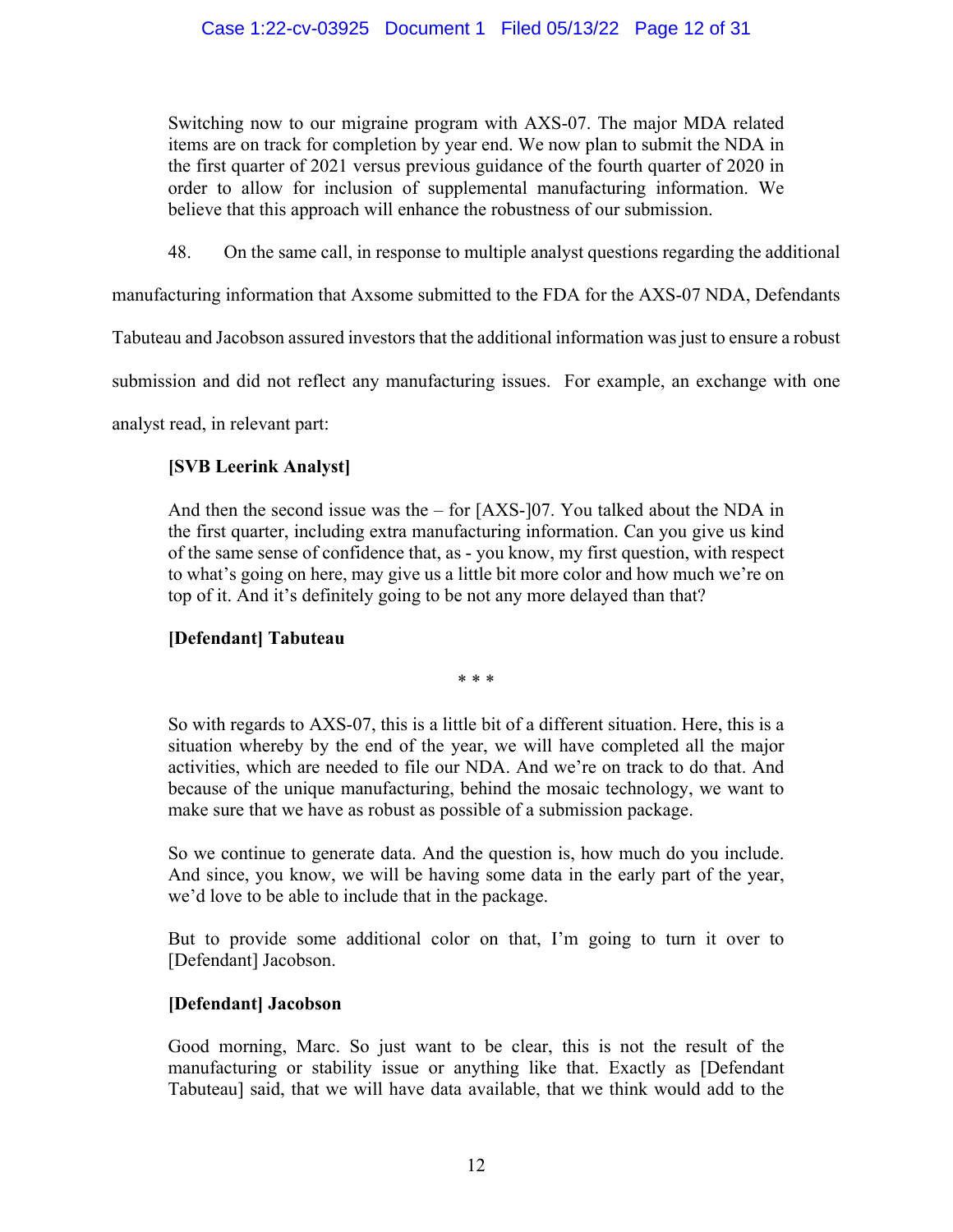Switching now to our migraine program with AXS-07. The major MDA related items are on track for completion by year end. We now plan to submit the NDA in the first quarter of 2021 versus previous guidance of the fourth quarter of 2020 in order to allow for inclusion of supplemental manufacturing information. We believe that this approach will enhance the robustness of our submission.

48. On the same call, in response to multiple analyst questions regarding the additional

manufacturing information that Axsome submitted to the FDA for the AXS-07 NDA, Defendants

Tabuteau and Jacobson assured investors that the additional information was just to ensure a robust

submission and did not reflect any manufacturing issues. For example, an exchange with one

analyst read, in relevant part:

## **[SVB Leerink Analyst]**

And then the second issue was the  $-$  for [AXS-]07. You talked about the NDA in the first quarter, including extra manufacturing information. Can you give us kind of the same sense of confidence that, as - you know, my first question, with respect to what's going on here, may give us a little bit more color and how much we're on top of it. And it's definitely going to be not any more delayed than that?

# **[Defendant] Tabuteau**

\* \* \*

So with regards to AXS-07, this is a little bit of a different situation. Here, this is a situation whereby by the end of the year, we will have completed all the major activities, which are needed to file our NDA. And we're on track to do that. And because of the unique manufacturing, behind the mosaic technology, we want to make sure that we have as robust as possible of a submission package.

So we continue to generate data. And the question is, how much do you include. And since, you know, we will be having some data in the early part of the year, we'd love to be able to include that in the package.

But to provide some additional color on that, I'm going to turn it over to [Defendant] Jacobson.

# **[Defendant] Jacobson**

Good morning, Marc. So just want to be clear, this is not the result of the manufacturing or stability issue or anything like that. Exactly as [Defendant Tabuteau] said, that we will have data available, that we think would add to the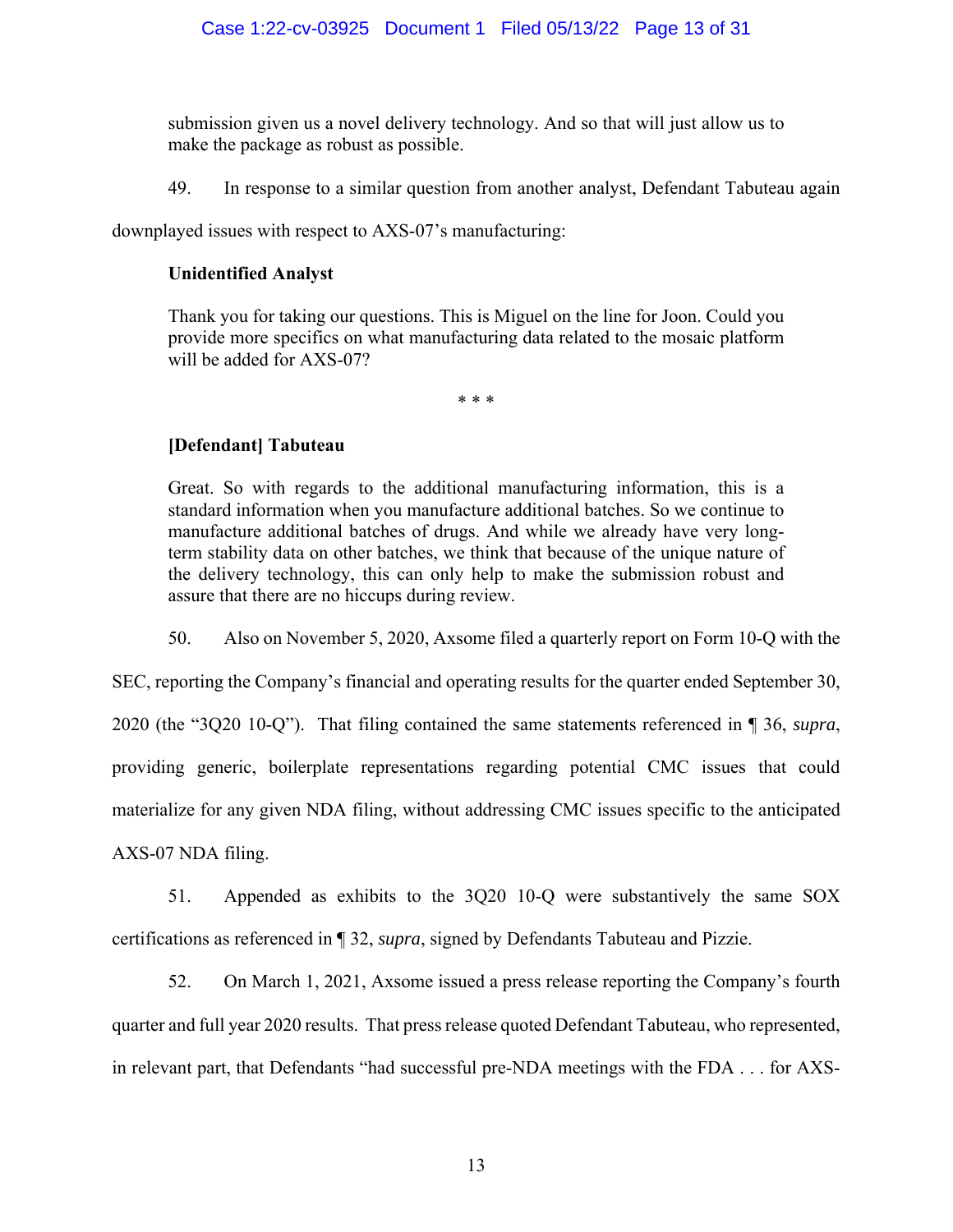submission given us a novel delivery technology. And so that will just allow us to make the package as robust as possible.

49. In response to a similar question from another analyst, Defendant Tabuteau again

downplayed issues with respect to AXS-07's manufacturing:

### **Unidentified Analyst**

Thank you for taking our questions. This is Miguel on the line for Joon. Could you provide more specifics on what manufacturing data related to the mosaic platform will be added for AXS-07?

\* \* \*

## **[Defendant] Tabuteau**

Great. So with regards to the additional manufacturing information, this is a standard information when you manufacture additional batches. So we continue to manufacture additional batches of drugs. And while we already have very longterm stability data on other batches, we think that because of the unique nature of the delivery technology, this can only help to make the submission robust and assure that there are no hiccups during review.

50. Also on November 5, 2020, Axsome filed a quarterly report on Form 10-Q with the

SEC, reporting the Company's financial and operating results for the quarter ended September 30, 2020 (the "3Q20 10-Q"). That filing contained the same statements referenced in ¶ 36, *supra*, providing generic, boilerplate representations regarding potential CMC issues that could materialize for any given NDA filing, without addressing CMC issues specific to the anticipated AXS-07 NDA filing.

51. Appended as exhibits to the 3Q20 10-Q were substantively the same SOX certifications as referenced in ¶ 32, *supra*, signed by Defendants Tabuteau and Pizzie.

52. On March 1, 2021, Axsome issued a press release reporting the Company's fourth quarter and full year 2020 results. That press release quoted Defendant Tabuteau, who represented, in relevant part, that Defendants "had successful pre-NDA meetings with the FDA . . . for AXS-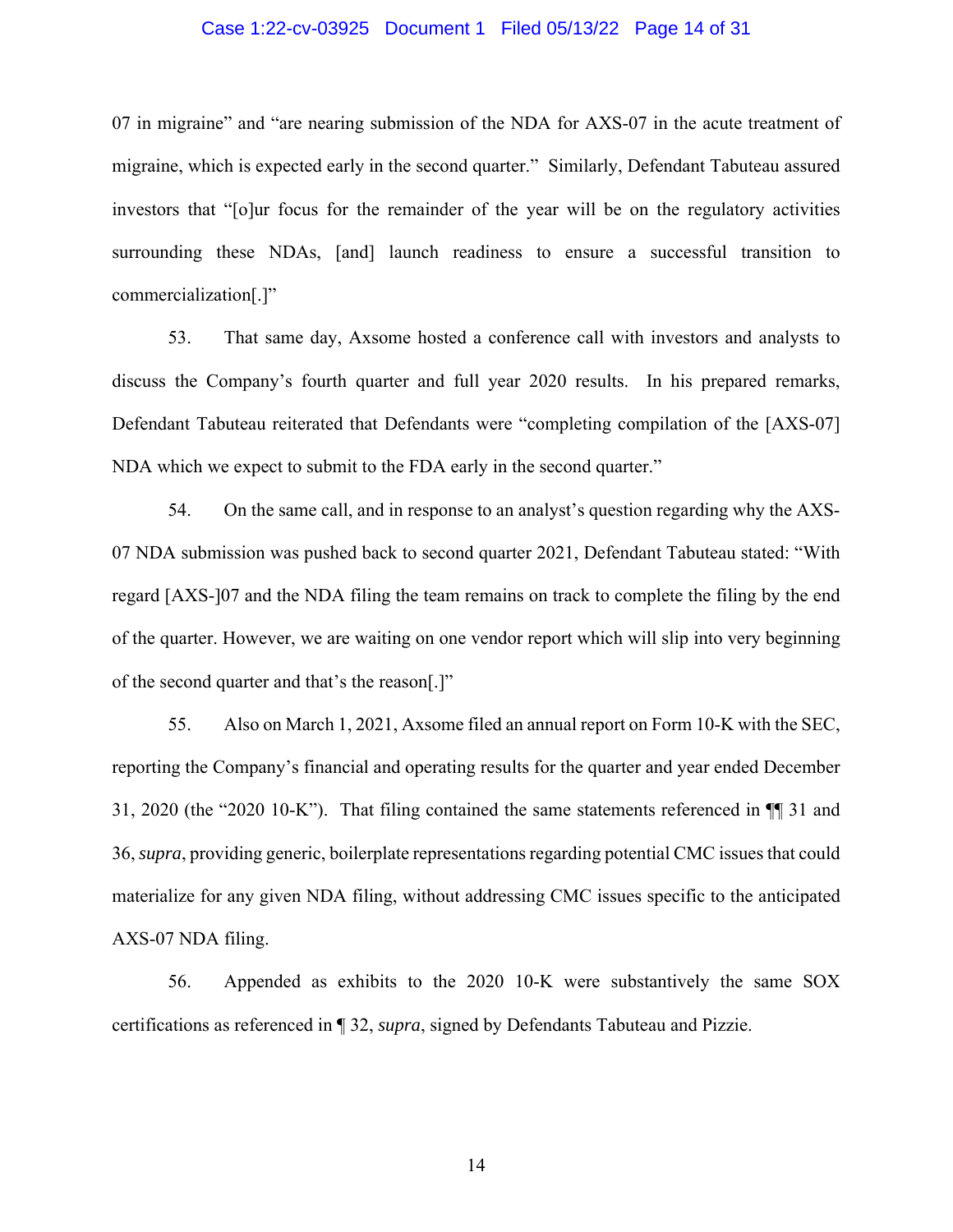### Case 1:22-cv-03925 Document 1 Filed 05/13/22 Page 14 of 31

07 in migraine" and "are nearing submission of the NDA for AXS-07 in the acute treatment of migraine, which is expected early in the second quarter." Similarly, Defendant Tabuteau assured investors that "[o]ur focus for the remainder of the year will be on the regulatory activities surrounding these NDAs, [and] launch readiness to ensure a successful transition to commercialization[.]"

53. That same day, Axsome hosted a conference call with investors and analysts to discuss the Company's fourth quarter and full year 2020 results. In his prepared remarks, Defendant Tabuteau reiterated that Defendants were "completing compilation of the [AXS-07] NDA which we expect to submit to the FDA early in the second quarter."

54. On the same call, and in response to an analyst's question regarding why the AXS-07 NDA submission was pushed back to second quarter 2021, Defendant Tabuteau stated: "With regard [AXS-]07 and the NDA filing the team remains on track to complete the filing by the end of the quarter. However, we are waiting on one vendor report which will slip into very beginning of the second quarter and that's the reason[.]"

55. Also on March 1, 2021, Axsome filed an annual report on Form 10-K with the SEC, reporting the Company's financial and operating results for the quarter and year ended December 31, 2020 (the "2020 10-K"). That filing contained the same statements referenced in ¶¶ 31 and 36, *supra*, providing generic, boilerplate representations regarding potential CMC issues that could materialize for any given NDA filing, without addressing CMC issues specific to the anticipated AXS-07 NDA filing.

56. Appended as exhibits to the 2020 10-K were substantively the same SOX certifications as referenced in ¶ 32, *supra*, signed by Defendants Tabuteau and Pizzie.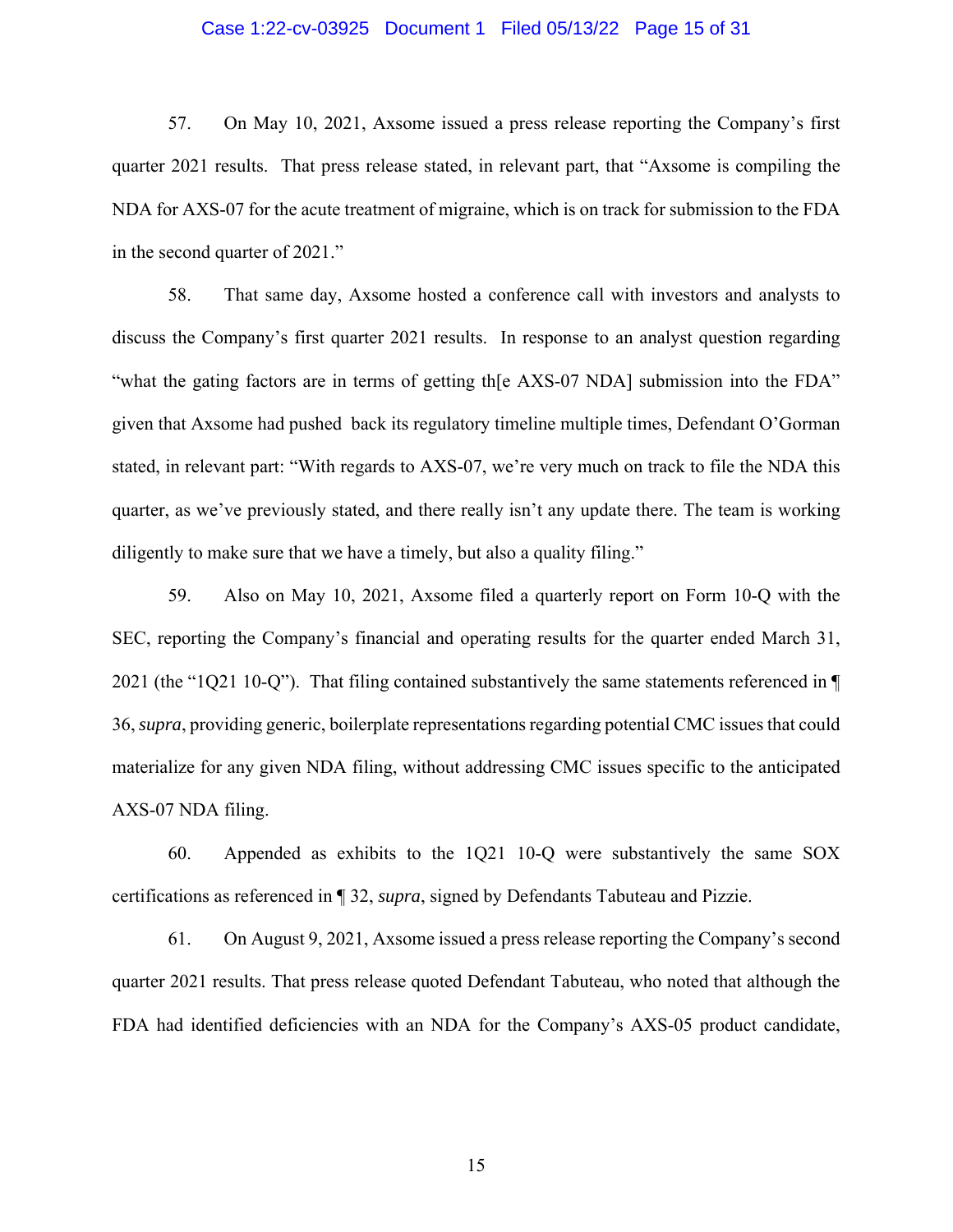### Case 1:22-cv-03925 Document 1 Filed 05/13/22 Page 15 of 31

57. On May 10, 2021, Axsome issued a press release reporting the Company's first quarter 2021 results. That press release stated, in relevant part, that "Axsome is compiling the NDA for AXS-07 for the acute treatment of migraine, which is on track for submission to the FDA in the second quarter of 2021."

58. That same day, Axsome hosted a conference call with investors and analysts to discuss the Company's first quarter 2021 results. In response to an analyst question regarding "what the gating factors are in terms of getting th[e AXS-07 NDA] submission into the FDA" given that Axsome had pushed back its regulatory timeline multiple times, Defendant O'Gorman stated, in relevant part: "With regards to AXS-07, we're very much on track to file the NDA this quarter, as we've previously stated, and there really isn't any update there. The team is working diligently to make sure that we have a timely, but also a quality filing."

59. Also on May 10, 2021, Axsome filed a quarterly report on Form 10-Q with the SEC, reporting the Company's financial and operating results for the quarter ended March 31, 2021 (the "1Q21 10-Q"). That filing contained substantively the same statements referenced in ¶ 36, *supra*, providing generic, boilerplate representations regarding potential CMC issues that could materialize for any given NDA filing, without addressing CMC issues specific to the anticipated AXS-07 NDA filing.

60. Appended as exhibits to the 1Q21 10-Q were substantively the same SOX certifications as referenced in ¶ 32, *supra*, signed by Defendants Tabuteau and Pizzie.

61. On August 9, 2021, Axsome issued a press release reporting the Company's second quarter 2021 results. That press release quoted Defendant Tabuteau, who noted that although the FDA had identified deficiencies with an NDA for the Company's AXS-05 product candidate,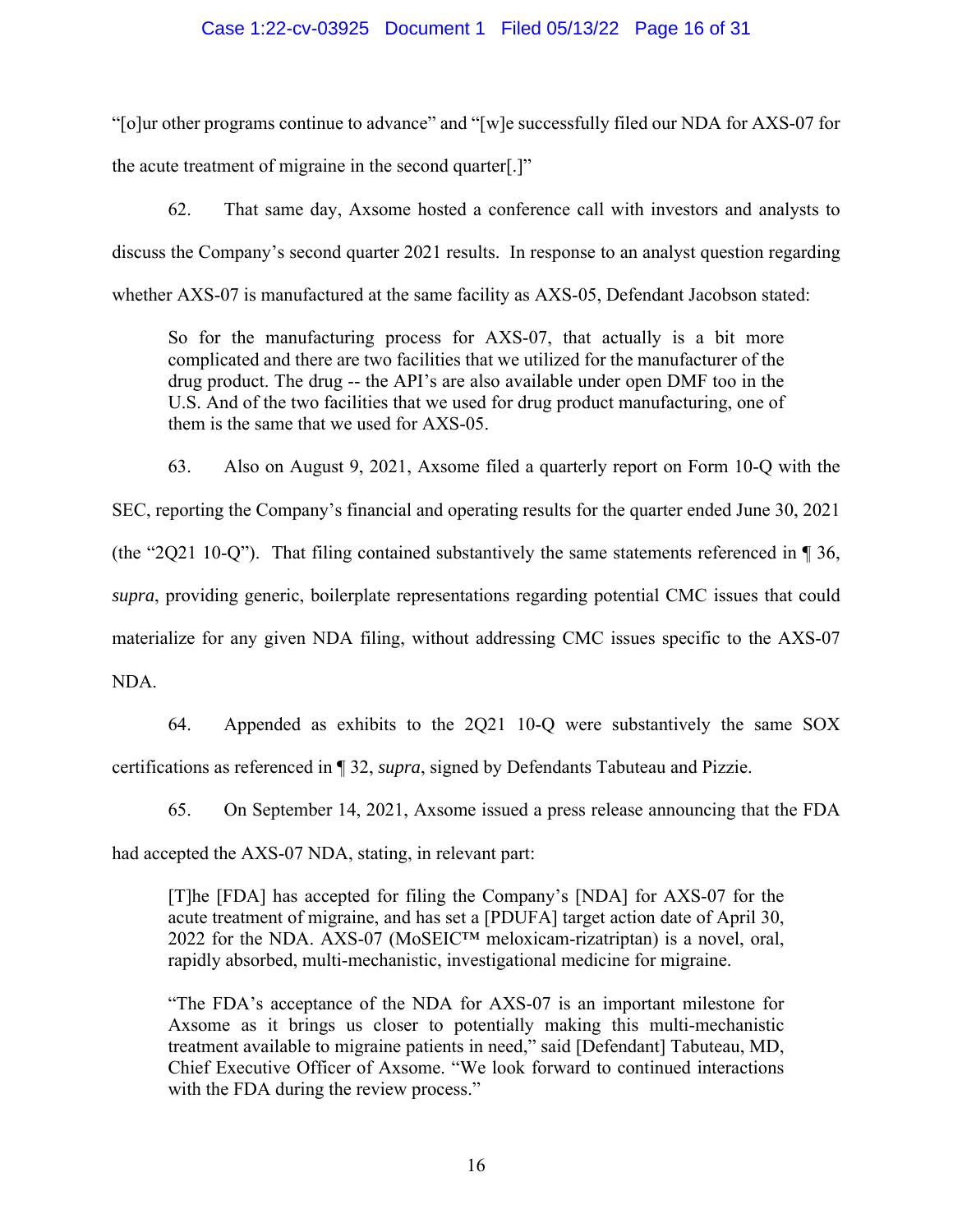### Case 1:22-cv-03925 Document 1 Filed 05/13/22 Page 16 of 31

"[o]ur other programs continue to advance" and "[w]e successfully filed our NDA for AXS-07 for the acute treatment of migraine in the second quarter[.]"

62. That same day, Axsome hosted a conference call with investors and analysts to discuss the Company's second quarter 2021 results. In response to an analyst question regarding whether AXS-07 is manufactured at the same facility as AXS-05, Defendant Jacobson stated:

So for the manufacturing process for AXS-07, that actually is a bit more complicated and there are two facilities that we utilized for the manufacturer of the drug product. The drug -- the API's are also available under open DMF too in the U.S. And of the two facilities that we used for drug product manufacturing, one of them is the same that we used for AXS-05.

63. Also on August 9, 2021, Axsome filed a quarterly report on Form 10-Q with the

SEC, reporting the Company's financial and operating results for the quarter ended June 30, 2021

(the "2Q21 10-Q"). That filing contained substantively the same statements referenced in ¶ 36,

*supra*, providing generic, boilerplate representations regarding potential CMC issues that could

materialize for any given NDA filing, without addressing CMC issues specific to the AXS-07

NDA.

64. Appended as exhibits to the 2Q21 10-Q were substantively the same SOX certifications as referenced in ¶ 32, *supra*, signed by Defendants Tabuteau and Pizzie.

65. On September 14, 2021, Axsome issued a press release announcing that the FDA

had accepted the AXS-07 NDA, stating, in relevant part:

[T]he [FDA] has accepted for filing the Company's [NDA] for AXS-07 for the acute treatment of migraine, and has set a [PDUFA] target action date of April 30, 2022 for the NDA. AXS-07 (MoSEIC<sup>TM</sup> meloxicam-rizatriptan) is a novel, oral, rapidly absorbed, multi-mechanistic, investigational medicine for migraine.

"The FDA's acceptance of the NDA for AXS-07 is an important milestone for Axsome as it brings us closer to potentially making this multi-mechanistic treatment available to migraine patients in need," said [Defendant] Tabuteau, MD, Chief Executive Officer of Axsome. "We look forward to continued interactions with the FDA during the review process."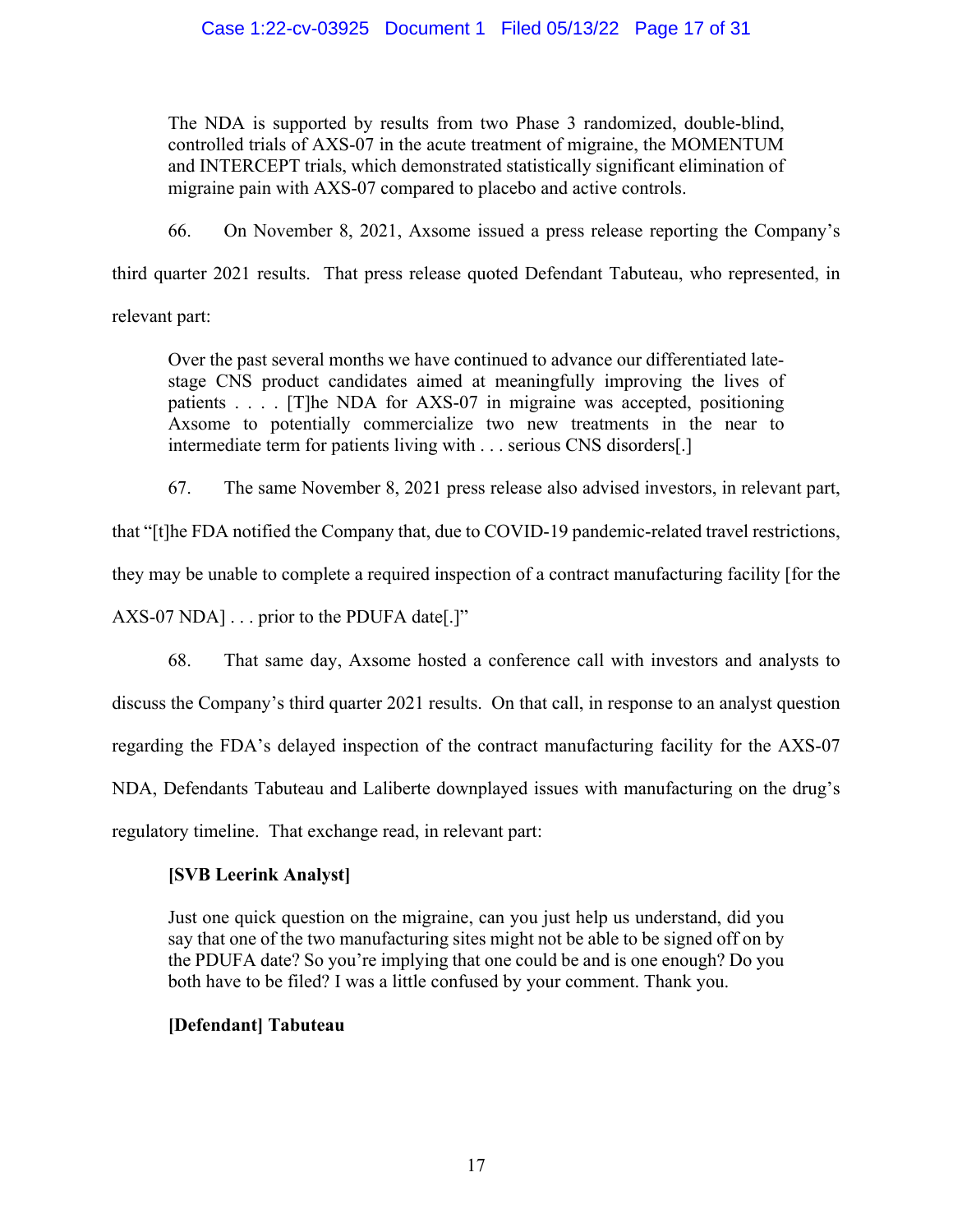The NDA is supported by results from two Phase 3 randomized, double-blind, controlled trials of AXS-07 in the acute treatment of migraine, the MOMENTUM and INTERCEPT trials, which demonstrated statistically significant elimination of migraine pain with AXS-07 compared to placebo and active controls.

66. On November 8, 2021, Axsome issued a press release reporting the Company's

third quarter 2021 results. That press release quoted Defendant Tabuteau, who represented, in

relevant part:

Over the past several months we have continued to advance our differentiated latestage CNS product candidates aimed at meaningfully improving the lives of patients . . . . [T]he NDA for AXS-07 in migraine was accepted, positioning Axsome to potentially commercialize two new treatments in the near to intermediate term for patients living with . . . serious CNS disorders[.]

67. The same November 8, 2021 press release also advised investors, in relevant part,

that "[t]he FDA notified the Company that, due to COVID-19 pandemic-related travel restrictions,

they may be unable to complete a required inspection of a contract manufacturing facility [for the

AXS-07 NDA] . . . prior to the PDUFA date[.]"

68. That same day, Axsome hosted a conference call with investors and analysts to

discuss the Company's third quarter 2021 results. On that call, in response to an analyst question

regarding the FDA's delayed inspection of the contract manufacturing facility for the AXS-07

NDA, Defendants Tabuteau and Laliberte downplayed issues with manufacturing on the drug's

regulatory timeline. That exchange read, in relevant part:

# **[SVB Leerink Analyst]**

Just one quick question on the migraine, can you just help us understand, did you say that one of the two manufacturing sites might not be able to be signed off on by the PDUFA date? So you're implying that one could be and is one enough? Do you both have to be filed? I was a little confused by your comment. Thank you.

# **[Defendant] Tabuteau**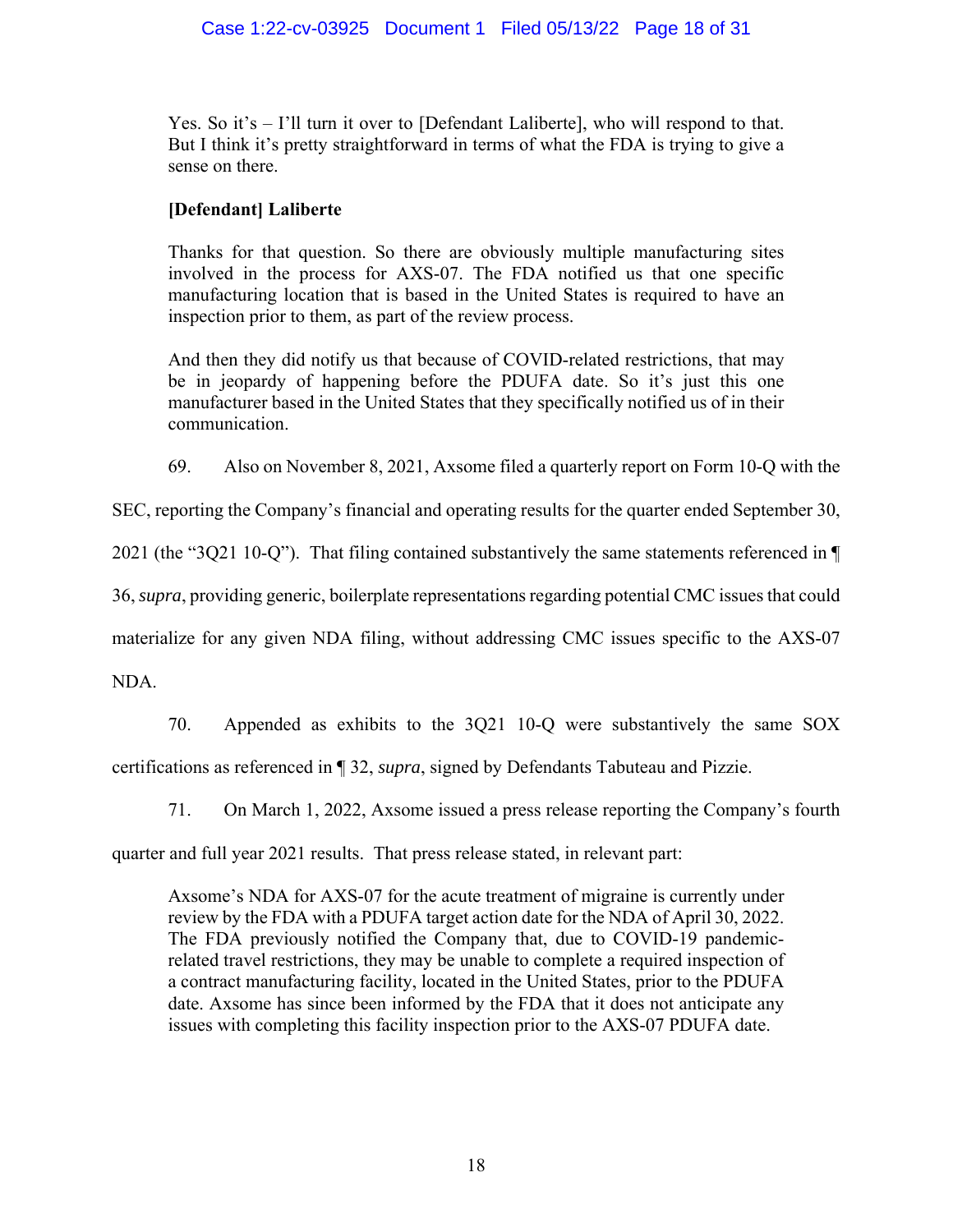## Case 1:22-cv-03925 Document 1 Filed 05/13/22 Page 18 of 31

Yes. So it's  $-1$ 'll turn it over to [Defendant Laliberte], who will respond to that. But I think it's pretty straightforward in terms of what the FDA is trying to give a sense on there.

## **[Defendant] Laliberte**

Thanks for that question. So there are obviously multiple manufacturing sites involved in the process for AXS-07. The FDA notified us that one specific manufacturing location that is based in the United States is required to have an inspection prior to them, as part of the review process.

And then they did notify us that because of COVID-related restrictions, that may be in jeopardy of happening before the PDUFA date. So it's just this one manufacturer based in the United States that they specifically notified us of in their communication.

69. Also on November 8, 2021, Axsome filed a quarterly report on Form 10-Q with the

SEC, reporting the Company's financial and operating results for the quarter ended September 30,

2021 (the "3Q21 10-Q"). That filing contained substantively the same statements referenced in ¶

36, *supra*, providing generic, boilerplate representations regarding potential CMC issues that could

materialize for any given NDA filing, without addressing CMC issues specific to the AXS-07

NDA.

70. Appended as exhibits to the 3Q21 10-Q were substantively the same SOX certifications as referenced in ¶ 32, *supra*, signed by Defendants Tabuteau and Pizzie.

71. On March 1, 2022, Axsome issued a press release reporting the Company's fourth

quarter and full year 2021 results. That press release stated, in relevant part:

Axsome's NDA for AXS-07 for the acute treatment of migraine is currently under review by the FDA with a PDUFA target action date for the NDA of April 30, 2022. The FDA previously notified the Company that, due to COVID-19 pandemicrelated travel restrictions, they may be unable to complete a required inspection of a contract manufacturing facility, located in the United States, prior to the PDUFA date. Axsome has since been informed by the FDA that it does not anticipate any issues with completing this facility inspection prior to the AXS-07 PDUFA date.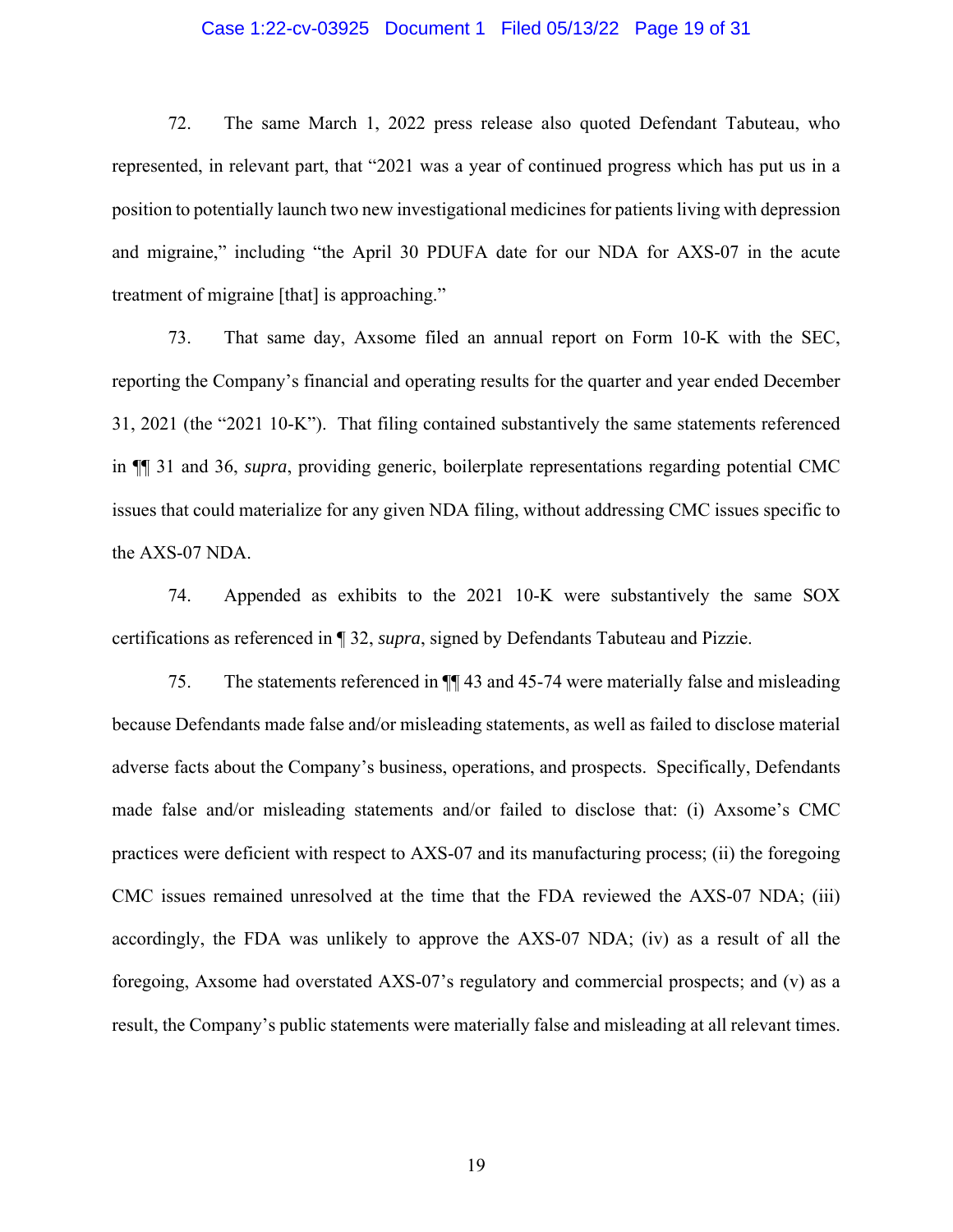### Case 1:22-cv-03925 Document 1 Filed 05/13/22 Page 19 of 31

72. The same March 1, 2022 press release also quoted Defendant Tabuteau, who represented, in relevant part, that "2021 was a year of continued progress which has put us in a position to potentially launch two new investigational medicines for patients living with depression and migraine," including "the April 30 PDUFA date for our NDA for AXS-07 in the acute treatment of migraine [that] is approaching."

73. That same day, Axsome filed an annual report on Form 10-K with the SEC, reporting the Company's financial and operating results for the quarter and year ended December 31, 2021 (the "2021 10-K"). That filing contained substantively the same statements referenced in ¶¶ 31 and 36, *supra*, providing generic, boilerplate representations regarding potential CMC issues that could materialize for any given NDA filing, without addressing CMC issues specific to the AXS-07 NDA.

74. Appended as exhibits to the 2021 10-K were substantively the same SOX certifications as referenced in ¶ 32, *supra*, signed by Defendants Tabuteau and Pizzie.

75. The statements referenced in ¶¶ 43 and 45-74 were materially false and misleading because Defendants made false and/or misleading statements, as well as failed to disclose material adverse facts about the Company's business, operations, and prospects. Specifically, Defendants made false and/or misleading statements and/or failed to disclose that: (i) Axsome's CMC practices were deficient with respect to AXS-07 and its manufacturing process; (ii) the foregoing CMC issues remained unresolved at the time that the FDA reviewed the AXS-07 NDA; (iii) accordingly, the FDA was unlikely to approve the AXS-07 NDA; (iv) as a result of all the foregoing, Axsome had overstated AXS-07's regulatory and commercial prospects; and (v) as a result, the Company's public statements were materially false and misleading at all relevant times.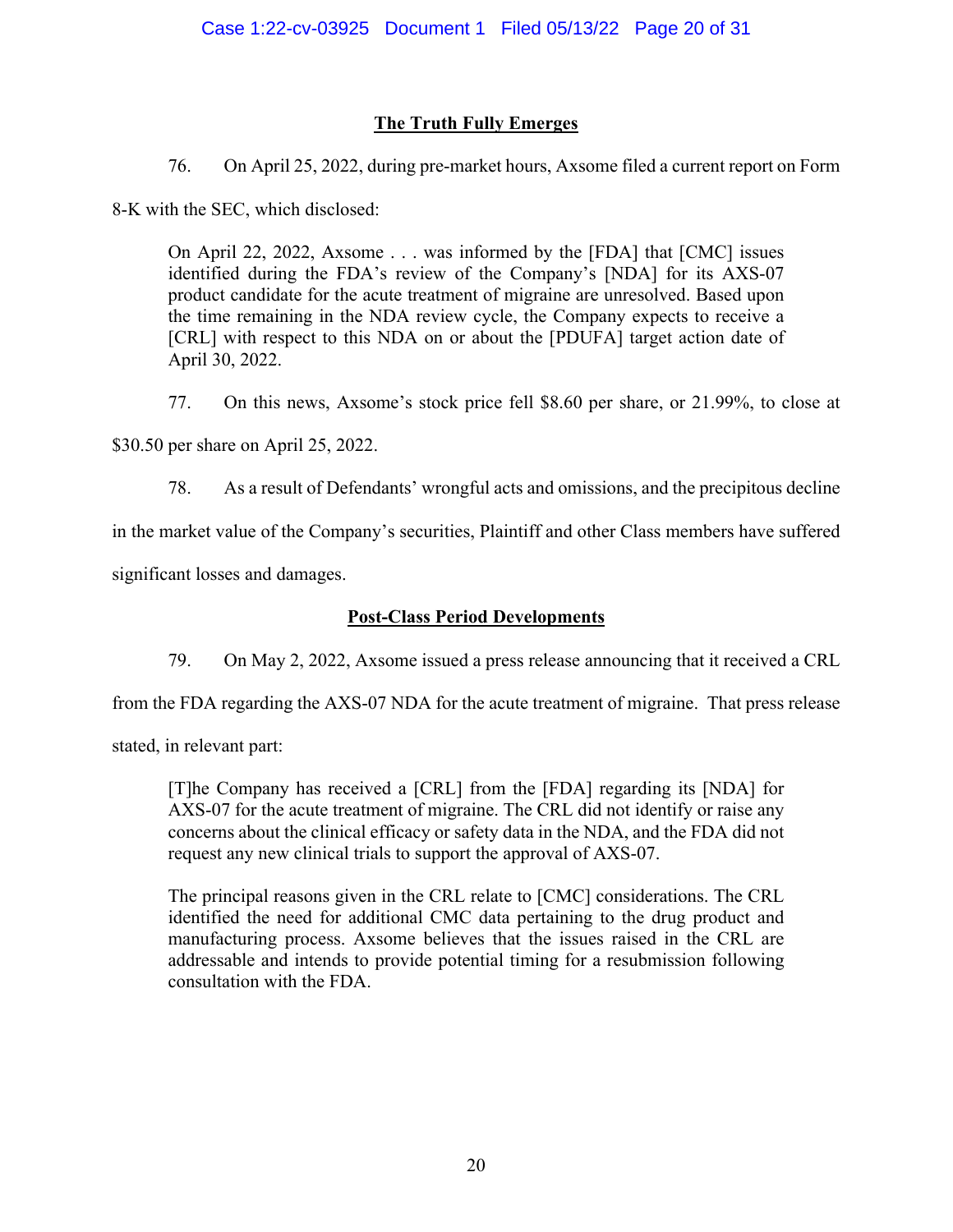# **The Truth Fully Emerges**

76. On April 25, 2022, during pre-market hours, Axsome filed a current report on Form

8-K with the SEC, which disclosed:

On April 22, 2022, Axsome . . . was informed by the [FDA] that [CMC] issues identified during the FDA's review of the Company's [NDA] for its AXS-07 product candidate for the acute treatment of migraine are unresolved. Based upon the time remaining in the NDA review cycle, the Company expects to receive a [CRL] with respect to this NDA on or about the [PDUFA] target action date of April 30, 2022.

77. On this news, Axsome's stock price fell \$8.60 per share, or 21.99%, to close at

\$30.50 per share on April 25, 2022.

78. As a result of Defendants' wrongful acts and omissions, and the precipitous decline

in the market value of the Company's securities, Plaintiff and other Class members have suffered

significant losses and damages.

# **Post-Class Period Developments**

79. On May 2, 2022, Axsome issued a press release announcing that it received a CRL

from the FDA regarding the AXS-07 NDA for the acute treatment of migraine. That press release

stated, in relevant part:

[T]he Company has received a [CRL] from the [FDA] regarding its [NDA] for AXS-07 for the acute treatment of migraine. The CRL did not identify or raise any concerns about the clinical efficacy or safety data in the NDA, and the FDA did not request any new clinical trials to support the approval of AXS-07.

The principal reasons given in the CRL relate to [CMC] considerations. The CRL identified the need for additional CMC data pertaining to the drug product and manufacturing process. Axsome believes that the issues raised in the CRL are addressable and intends to provide potential timing for a resubmission following consultation with the FDA.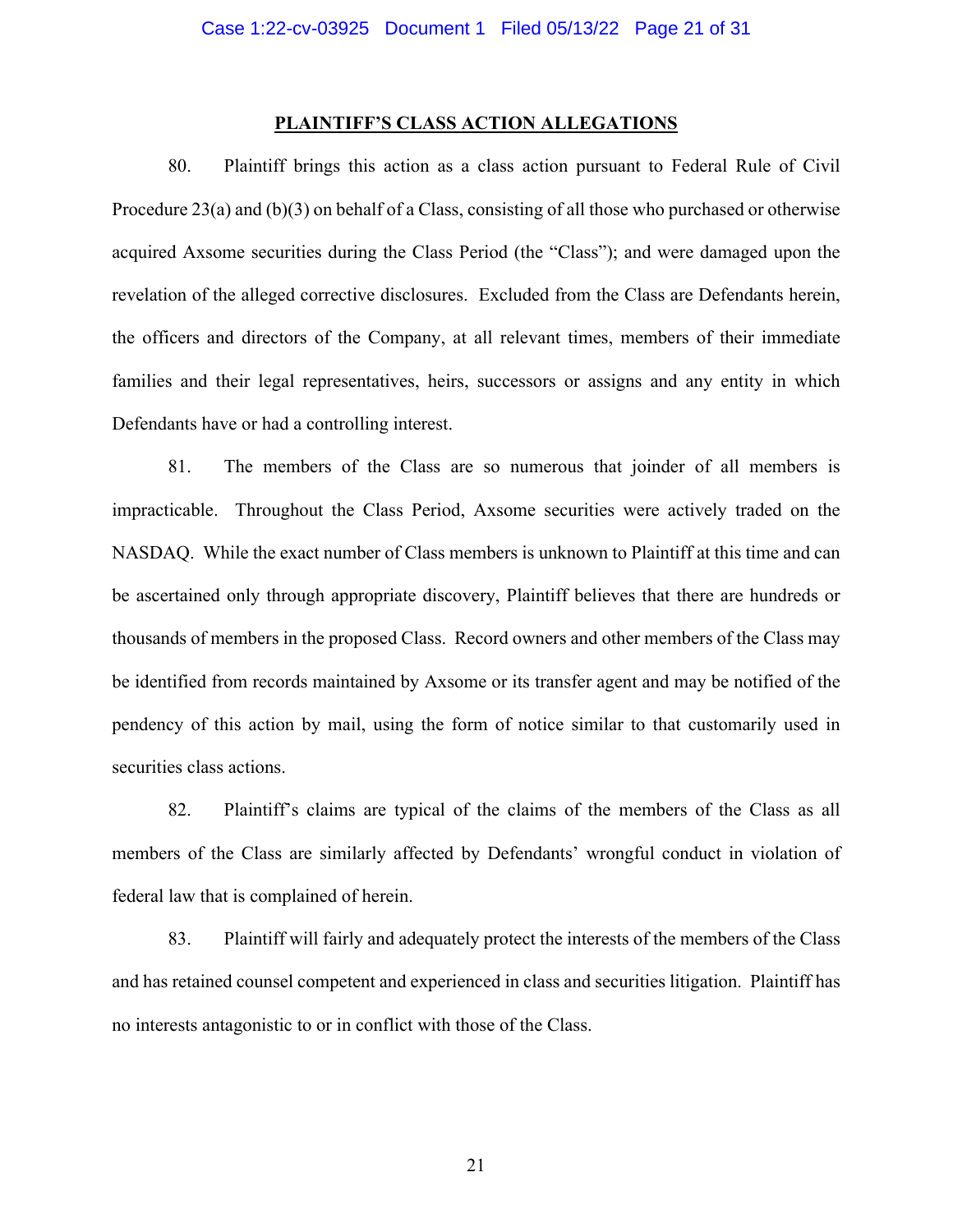### **PLAINTIFF'S CLASS ACTION ALLEGATIONS**

80. Plaintiff brings this action as a class action pursuant to Federal Rule of Civil Procedure 23(a) and (b)(3) on behalf of a Class, consisting of all those who purchased or otherwise acquired Axsome securities during the Class Period (the "Class"); and were damaged upon the revelation of the alleged corrective disclosures. Excluded from the Class are Defendants herein, the officers and directors of the Company, at all relevant times, members of their immediate families and their legal representatives, heirs, successors or assigns and any entity in which Defendants have or had a controlling interest.

81. The members of the Class are so numerous that joinder of all members is impracticable. Throughout the Class Period, Axsome securities were actively traded on the NASDAQ. While the exact number of Class members is unknown to Plaintiff at this time and can be ascertained only through appropriate discovery, Plaintiff believes that there are hundreds or thousands of members in the proposed Class. Record owners and other members of the Class may be identified from records maintained by Axsome or its transfer agent and may be notified of the pendency of this action by mail, using the form of notice similar to that customarily used in securities class actions.

82. Plaintiff's claims are typical of the claims of the members of the Class as all members of the Class are similarly affected by Defendants' wrongful conduct in violation of federal law that is complained of herein.

83. Plaintiff will fairly and adequately protect the interests of the members of the Class and has retained counsel competent and experienced in class and securities litigation. Plaintiff has no interests antagonistic to or in conflict with those of the Class.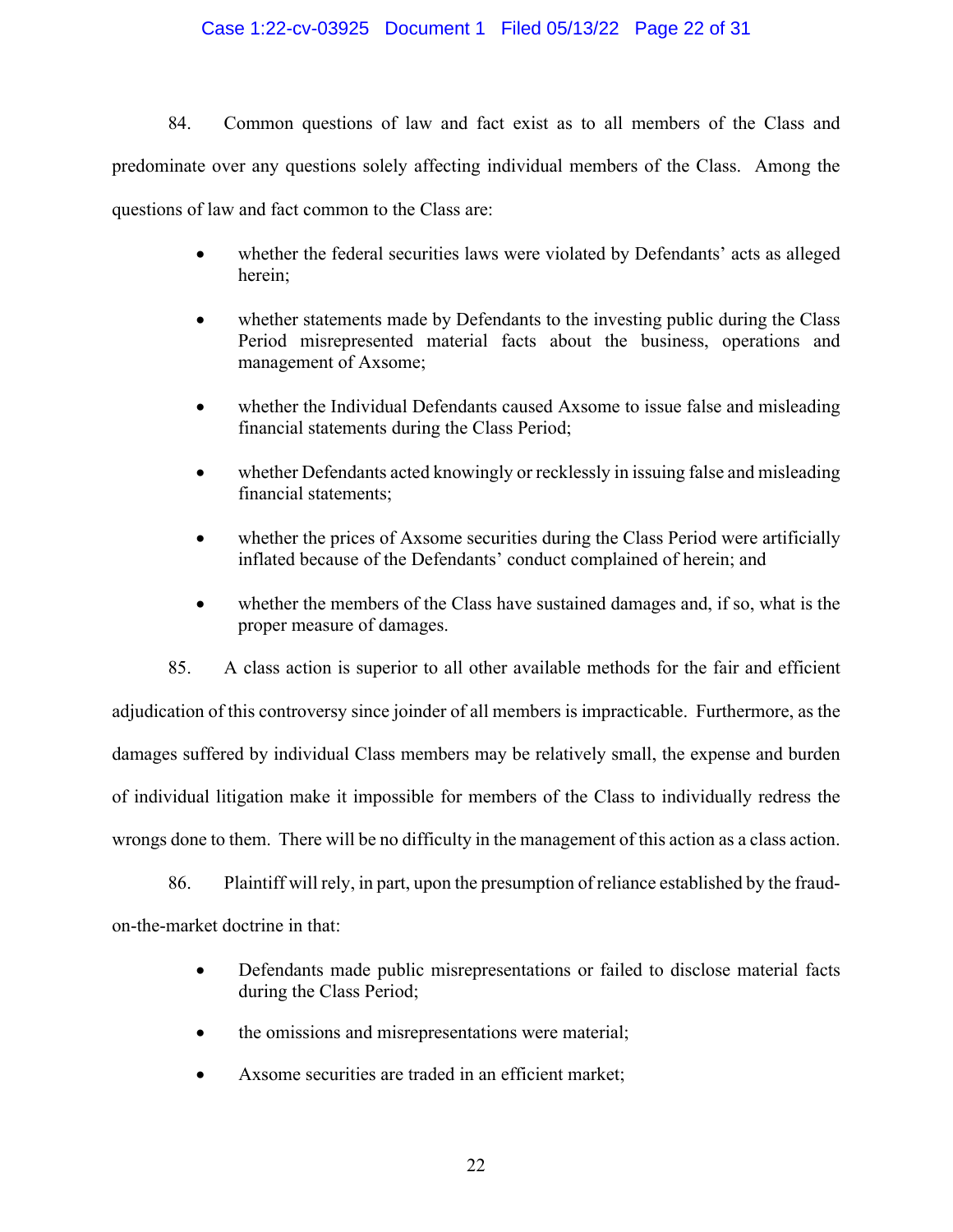### Case 1:22-cv-03925 Document 1 Filed 05/13/22 Page 22 of 31

84. Common questions of law and fact exist as to all members of the Class and predominate over any questions solely affecting individual members of the Class. Among the questions of law and fact common to the Class are:

- whether the federal securities laws were violated by Defendants' acts as alleged herein;
- whether statements made by Defendants to the investing public during the Class Period misrepresented material facts about the business, operations and management of Axsome;
- whether the Individual Defendants caused Axsome to issue false and misleading financial statements during the Class Period;
- whether Defendants acted knowingly or recklessly in issuing false and misleading financial statements;
- whether the prices of Axsome securities during the Class Period were artificially inflated because of the Defendants' conduct complained of herein; and
- whether the members of the Class have sustained damages and, if so, what is the proper measure of damages.

85. A class action is superior to all other available methods for the fair and efficient adjudication of this controversy since joinder of all members is impracticable. Furthermore, as the damages suffered by individual Class members may be relatively small, the expense and burden of individual litigation make it impossible for members of the Class to individually redress the wrongs done to them. There will be no difficulty in the management of this action as a class action.

86. Plaintiff will rely, in part, upon the presumption of reliance established by the fraudon-the-market doctrine in that:

- Defendants made public misrepresentations or failed to disclose material facts during the Class Period;
- the omissions and misrepresentations were material;
- Axsome securities are traded in an efficient market;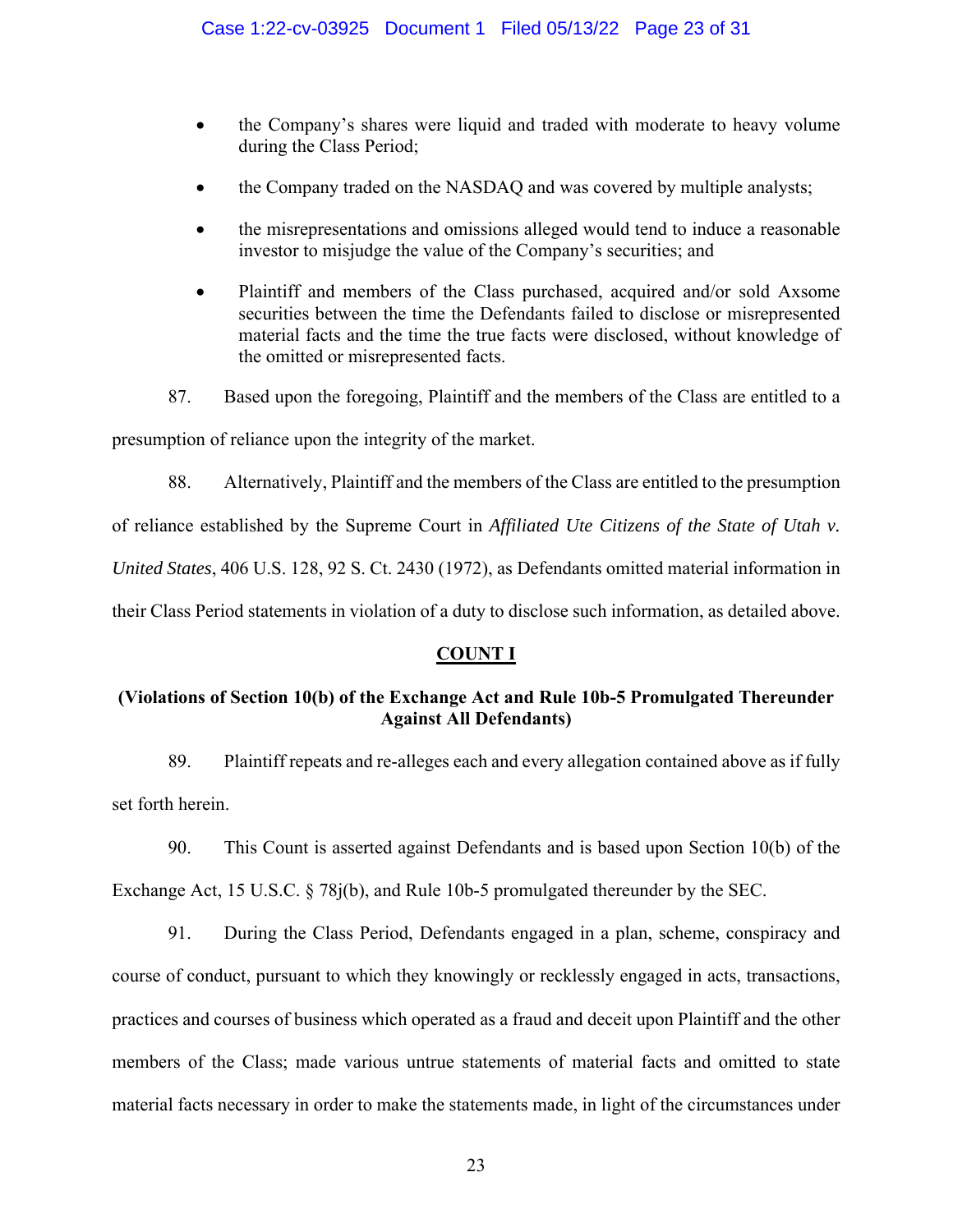- the Company's shares were liquid and traded with moderate to heavy volume during the Class Period;
- the Company traded on the NASDAQ and was covered by multiple analysts;
- the misrepresentations and omissions alleged would tend to induce a reasonable investor to misjudge the value of the Company's securities; and
- Plaintiff and members of the Class purchased, acquired and/or sold Axsome securities between the time the Defendants failed to disclose or misrepresented material facts and the time the true facts were disclosed, without knowledge of the omitted or misrepresented facts.
- 87. Based upon the foregoing, Plaintiff and the members of the Class are entitled to a

presumption of reliance upon the integrity of the market.

88. Alternatively, Plaintiff and the members of the Class are entitled to the presumption

of reliance established by the Supreme Court in *Affiliated Ute Citizens of the State of Utah v.* 

*United States*, 406 U.S. 128, 92 S. Ct. 2430 (1972), as Defendants omitted material information in

their Class Period statements in violation of a duty to disclose such information, as detailed above.

# **COUNT I**

# **(Violations of Section 10(b) of the Exchange Act and Rule 10b-5 Promulgated Thereunder Against All Defendants)**

89. Plaintiff repeats and re-alleges each and every allegation contained above as if fully set forth herein.

90. This Count is asserted against Defendants and is based upon Section 10(b) of the Exchange Act, 15 U.S.C. § 78j(b), and Rule 10b-5 promulgated thereunder by the SEC.

91. During the Class Period, Defendants engaged in a plan, scheme, conspiracy and course of conduct, pursuant to which they knowingly or recklessly engaged in acts, transactions, practices and courses of business which operated as a fraud and deceit upon Plaintiff and the other members of the Class; made various untrue statements of material facts and omitted to state material facts necessary in order to make the statements made, in light of the circumstances under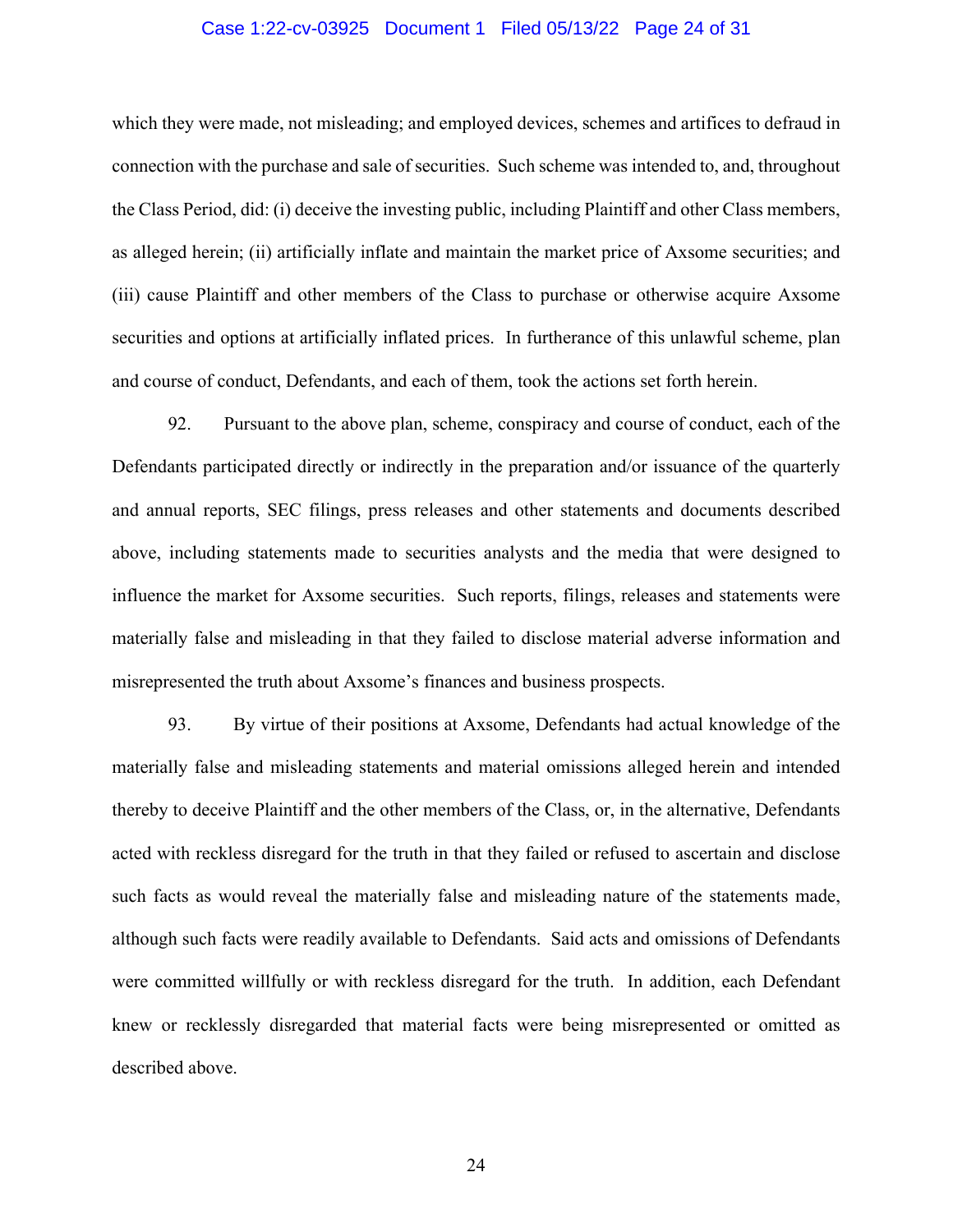### Case 1:22-cv-03925 Document 1 Filed 05/13/22 Page 24 of 31

which they were made, not misleading; and employed devices, schemes and artifices to defraud in connection with the purchase and sale of securities. Such scheme was intended to, and, throughout the Class Period, did: (i) deceive the investing public, including Plaintiff and other Class members, as alleged herein; (ii) artificially inflate and maintain the market price of Axsome securities; and (iii) cause Plaintiff and other members of the Class to purchase or otherwise acquire Axsome securities and options at artificially inflated prices. In furtherance of this unlawful scheme, plan and course of conduct, Defendants, and each of them, took the actions set forth herein.

92. Pursuant to the above plan, scheme, conspiracy and course of conduct, each of the Defendants participated directly or indirectly in the preparation and/or issuance of the quarterly and annual reports, SEC filings, press releases and other statements and documents described above, including statements made to securities analysts and the media that were designed to influence the market for Axsome securities. Such reports, filings, releases and statements were materially false and misleading in that they failed to disclose material adverse information and misrepresented the truth about Axsome's finances and business prospects.

93. By virtue of their positions at Axsome, Defendants had actual knowledge of the materially false and misleading statements and material omissions alleged herein and intended thereby to deceive Plaintiff and the other members of the Class, or, in the alternative, Defendants acted with reckless disregard for the truth in that they failed or refused to ascertain and disclose such facts as would reveal the materially false and misleading nature of the statements made, although such facts were readily available to Defendants. Said acts and omissions of Defendants were committed willfully or with reckless disregard for the truth. In addition, each Defendant knew or recklessly disregarded that material facts were being misrepresented or omitted as described above.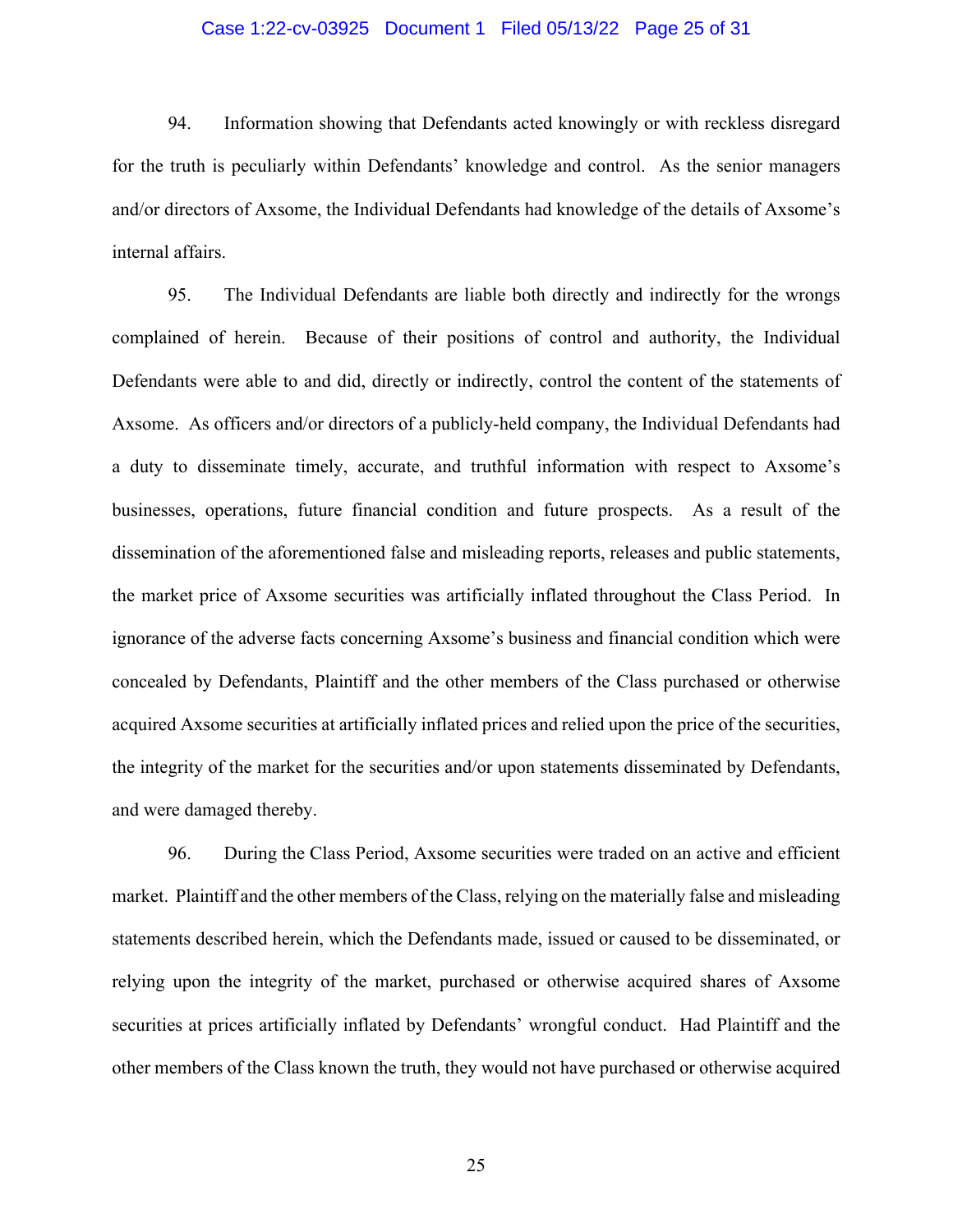### Case 1:22-cv-03925 Document 1 Filed 05/13/22 Page 25 of 31

94. Information showing that Defendants acted knowingly or with reckless disregard for the truth is peculiarly within Defendants' knowledge and control. As the senior managers and/or directors of Axsome, the Individual Defendants had knowledge of the details of Axsome's internal affairs.

95. The Individual Defendants are liable both directly and indirectly for the wrongs complained of herein. Because of their positions of control and authority, the Individual Defendants were able to and did, directly or indirectly, control the content of the statements of Axsome. As officers and/or directors of a publicly-held company, the Individual Defendants had a duty to disseminate timely, accurate, and truthful information with respect to Axsome's businesses, operations, future financial condition and future prospects. As a result of the dissemination of the aforementioned false and misleading reports, releases and public statements, the market price of Axsome securities was artificially inflated throughout the Class Period. In ignorance of the adverse facts concerning Axsome's business and financial condition which were concealed by Defendants, Plaintiff and the other members of the Class purchased or otherwise acquired Axsome securities at artificially inflated prices and relied upon the price of the securities, the integrity of the market for the securities and/or upon statements disseminated by Defendants, and were damaged thereby.

96. During the Class Period, Axsome securities were traded on an active and efficient market. Plaintiff and the other members of the Class, relying on the materially false and misleading statements described herein, which the Defendants made, issued or caused to be disseminated, or relying upon the integrity of the market, purchased or otherwise acquired shares of Axsome securities at prices artificially inflated by Defendants' wrongful conduct. Had Plaintiff and the other members of the Class known the truth, they would not have purchased or otherwise acquired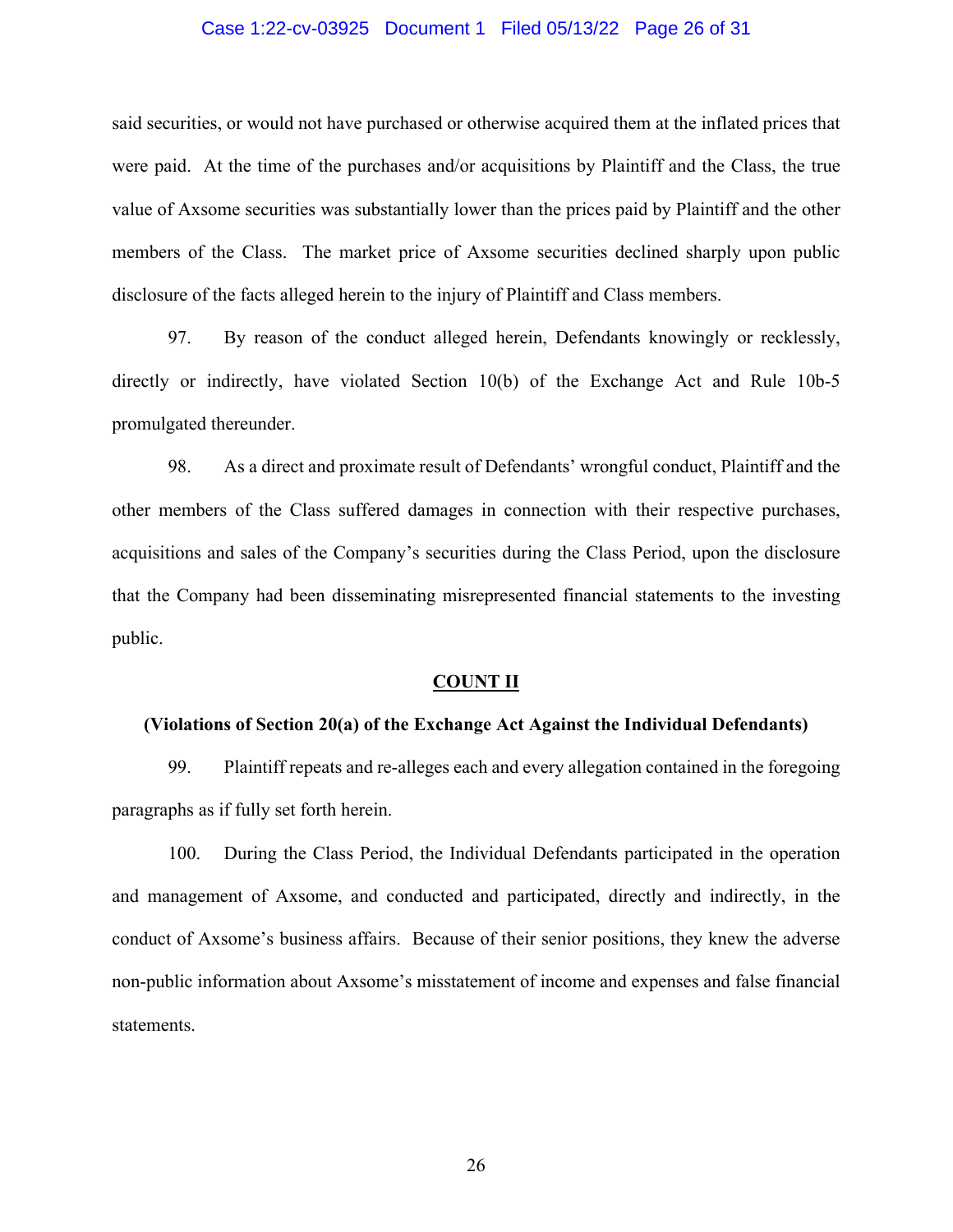### Case 1:22-cv-03925 Document 1 Filed 05/13/22 Page 26 of 31

said securities, or would not have purchased or otherwise acquired them at the inflated prices that were paid. At the time of the purchases and/or acquisitions by Plaintiff and the Class, the true value of Axsome securities was substantially lower than the prices paid by Plaintiff and the other members of the Class. The market price of Axsome securities declined sharply upon public disclosure of the facts alleged herein to the injury of Plaintiff and Class members.

97. By reason of the conduct alleged herein, Defendants knowingly or recklessly, directly or indirectly, have violated Section 10(b) of the Exchange Act and Rule 10b-5 promulgated thereunder.

98. As a direct and proximate result of Defendants' wrongful conduct, Plaintiff and the other members of the Class suffered damages in connection with their respective purchases, acquisitions and sales of the Company's securities during the Class Period, upon the disclosure that the Company had been disseminating misrepresented financial statements to the investing public.

#### **COUNT II**

#### **(Violations of Section 20(a) of the Exchange Act Against the Individual Defendants)**

99. Plaintiff repeats and re-alleges each and every allegation contained in the foregoing paragraphs as if fully set forth herein.

100. During the Class Period, the Individual Defendants participated in the operation and management of Axsome, and conducted and participated, directly and indirectly, in the conduct of Axsome's business affairs. Because of their senior positions, they knew the adverse non-public information about Axsome's misstatement of income and expenses and false financial statements.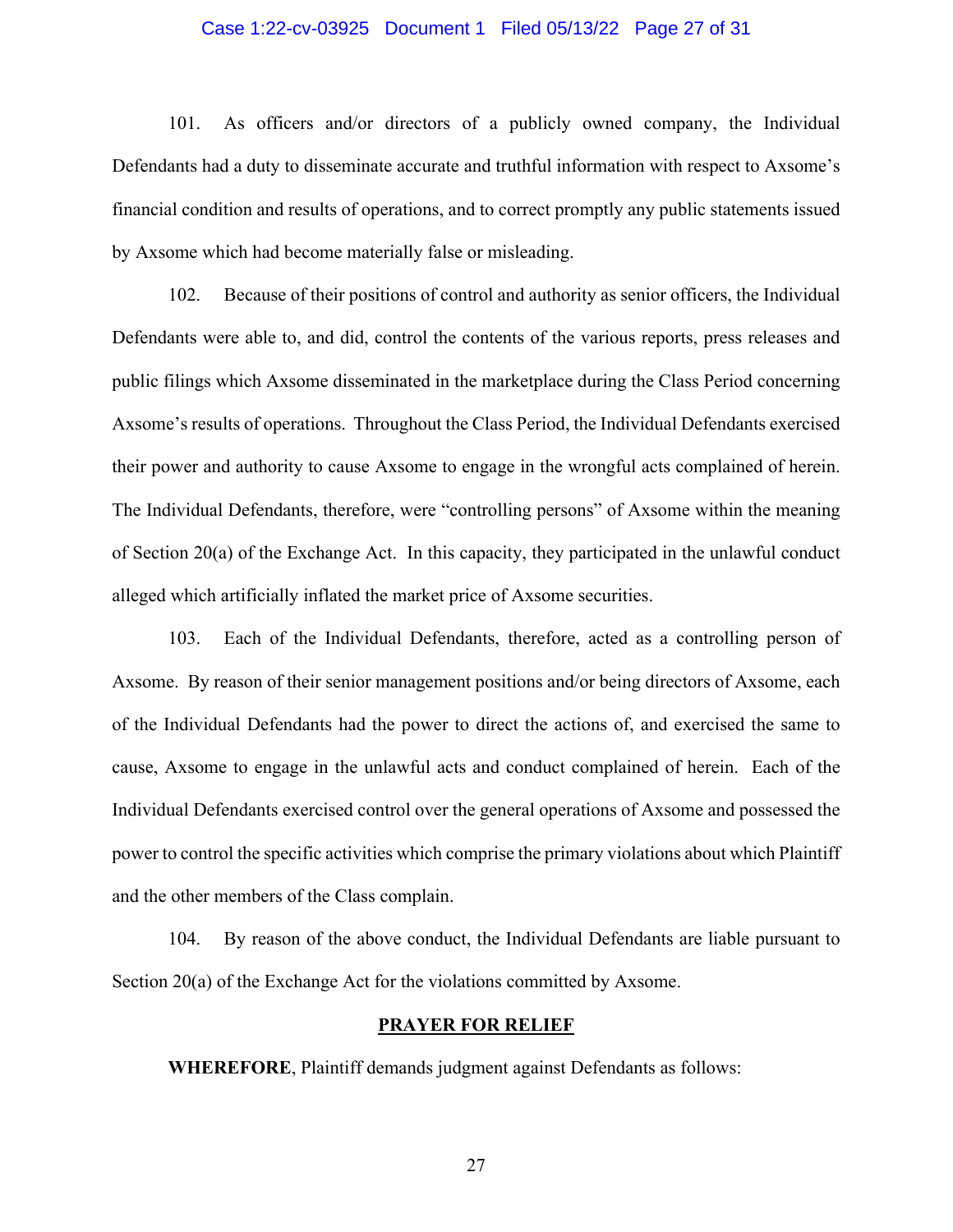### Case 1:22-cv-03925 Document 1 Filed 05/13/22 Page 27 of 31

101. As officers and/or directors of a publicly owned company, the Individual Defendants had a duty to disseminate accurate and truthful information with respect to Axsome's financial condition and results of operations, and to correct promptly any public statements issued by Axsome which had become materially false or misleading.

102. Because of their positions of control and authority as senior officers, the Individual Defendants were able to, and did, control the contents of the various reports, press releases and public filings which Axsome disseminated in the marketplace during the Class Period concerning Axsome's results of operations. Throughout the Class Period, the Individual Defendants exercised their power and authority to cause Axsome to engage in the wrongful acts complained of herein. The Individual Defendants, therefore, were "controlling persons" of Axsome within the meaning of Section 20(a) of the Exchange Act. In this capacity, they participated in the unlawful conduct alleged which artificially inflated the market price of Axsome securities.

103. Each of the Individual Defendants, therefore, acted as a controlling person of Axsome. By reason of their senior management positions and/or being directors of Axsome, each of the Individual Defendants had the power to direct the actions of, and exercised the same to cause, Axsome to engage in the unlawful acts and conduct complained of herein. Each of the Individual Defendants exercised control over the general operations of Axsome and possessed the power to control the specific activities which comprise the primary violations about which Plaintiff and the other members of the Class complain.

104. By reason of the above conduct, the Individual Defendants are liable pursuant to Section 20(a) of the Exchange Act for the violations committed by Axsome.

#### **PRAYER FOR RELIEF**

**WHEREFORE**, Plaintiff demands judgment against Defendants as follows: